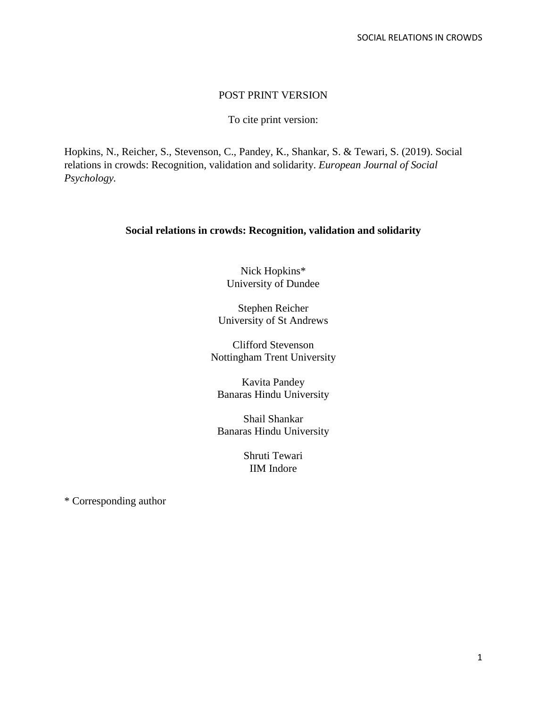# POST PRINT VERSION

To cite print version:

Hopkins, N., Reicher, S., Stevenson, C., Pandey, K., Shankar, S. & Tewari, S. (2019). Social relations in crowds: Recognition, validation and solidarity. *European Journal of Social Psychology.* 

# **Social relations in crowds: Recognition, validation and solidarity**

Nick Hopkins\* University of Dundee

Stephen Reicher University of St Andrews

Clifford Stevenson Nottingham Trent University

Kavita Pandey Banaras Hindu University

Shail Shankar Banaras Hindu University

> Shruti Tewari IIM Indore

\* Corresponding author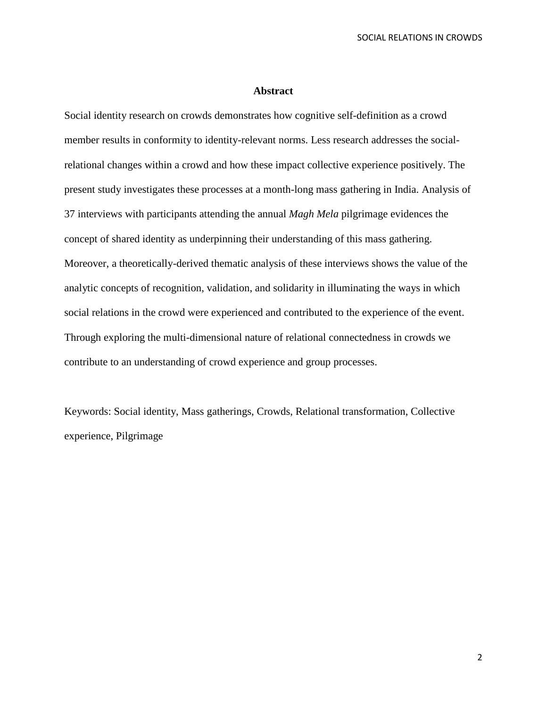### **Abstract**

Social identity research on crowds demonstrates how cognitive self-definition as a crowd member results in conformity to identity-relevant norms. Less research addresses the socialrelational changes within a crowd and how these impact collective experience positively. The present study investigates these processes at a month-long mass gathering in India. Analysis of 37 interviews with participants attending the annual *Magh Mela* pilgrimage evidences the concept of shared identity as underpinning their understanding of this mass gathering. Moreover, a theoretically-derived thematic analysis of these interviews shows the value of the analytic concepts of recognition, validation, and solidarity in illuminating the ways in which social relations in the crowd were experienced and contributed to the experience of the event. Through exploring the multi-dimensional nature of relational connectedness in crowds we contribute to an understanding of crowd experience and group processes.

Keywords: Social identity, Mass gatherings, Crowds, Relational transformation, Collective experience, Pilgrimage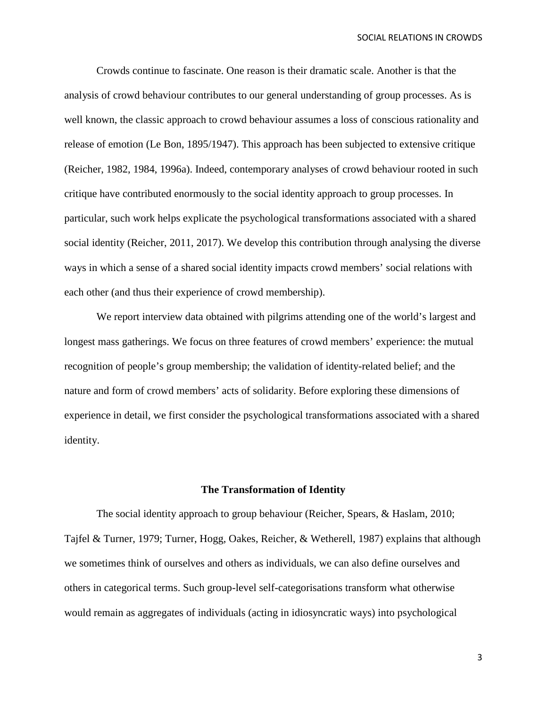Crowds continue to fascinate. One reason is their dramatic scale. Another is that the analysis of crowd behaviour contributes to our general understanding of group processes. As is well known, the classic approach to crowd behaviour assumes a loss of conscious rationality and release of emotion (Le Bon, 1895/1947). This approach has been subjected to extensive critique (Reicher, 1982, 1984, 1996a). Indeed, contemporary analyses of crowd behaviour rooted in such critique have contributed enormously to the social identity approach to group processes. In particular, such work helps explicate the psychological transformations associated with a shared social identity (Reicher, 2011, 2017). We develop this contribution through analysing the diverse ways in which a sense of a shared social identity impacts crowd members' social relations with each other (and thus their experience of crowd membership).

We report interview data obtained with pilgrims attending one of the world's largest and longest mass gatherings. We focus on three features of crowd members' experience: the mutual recognition of people's group membership; the validation of identity-related belief; and the nature and form of crowd members' acts of solidarity. Before exploring these dimensions of experience in detail, we first consider the psychological transformations associated with a shared identity.

# **The Transformation of Identity**

The social identity approach to group behaviour (Reicher, Spears, & Haslam, 2010; Tajfel & Turner, 1979; Turner, Hogg, Oakes, Reicher, & Wetherell, 1987) explains that although we sometimes think of ourselves and others as individuals, we can also define ourselves and others in categorical terms. Such group-level self-categorisations transform what otherwise would remain as aggregates of individuals (acting in idiosyncratic ways) into psychological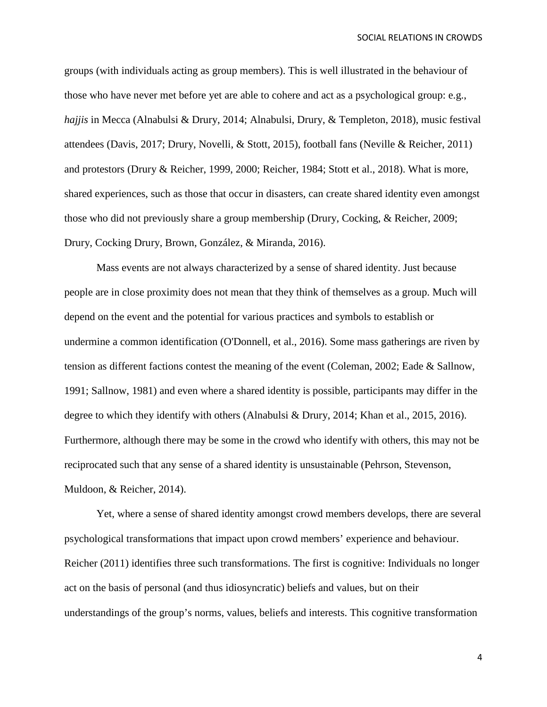groups (with individuals acting as group members). This is well illustrated in the behaviour of those who have never met before yet are able to cohere and act as a psychological group: e.g., *hajjis* in Mecca (Alnabulsi & Drury, 2014; Alnabulsi, Drury, & Templeton, 2018), music festival attendees (Davis, 2017; Drury, Novelli, & Stott, 2015), football fans (Neville & Reicher, 2011) and protestors (Drury & Reicher, 1999, 2000; Reicher, 1984; Stott et al., 2018). What is more, shared experiences, such as those that occur in disasters, can create shared identity even amongst those who did not previously share a group membership (Drury, Cocking, & Reicher, 2009; Drury, Cocking Drury, Brown, González, & Miranda, 2016).

Mass events are not always characterized by a sense of shared identity. Just because people are in close proximity does not mean that they think of themselves as a group. Much will depend on the event and the potential for various practices and symbols to establish or undermine a common identification (O'Donnell, et al., 2016). Some mass gatherings are riven by tension as different factions contest the meaning of the event (Coleman, 2002; Eade & Sallnow, 1991; Sallnow, 1981) and even where a shared identity is possible, participants may differ in the degree to which they identify with others (Alnabulsi & Drury, 2014; Khan et al., 2015, 2016). Furthermore, although there may be some in the crowd who identify with others, this may not be reciprocated such that any sense of a shared identity is unsustainable (Pehrson, Stevenson, Muldoon, & Reicher, 2014).

Yet, where a sense of shared identity amongst crowd members develops, there are several psychological transformations that impact upon crowd members' experience and behaviour. Reicher (2011) identifies three such transformations. The first is cognitive: Individuals no longer act on the basis of personal (and thus idiosyncratic) beliefs and values, but on their understandings of the group's norms, values, beliefs and interests. This cognitive transformation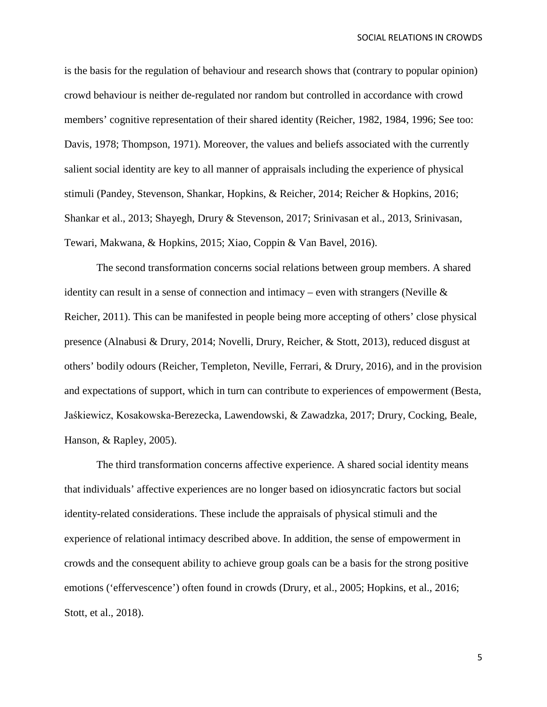is the basis for the regulation of behaviour and research shows that (contrary to popular opinion) crowd behaviour is neither de-regulated nor random but controlled in accordance with crowd members' cognitive representation of their shared identity (Reicher, 1982, 1984, 1996; See too: Davis, 1978; Thompson, 1971). Moreover, the values and beliefs associated with the currently salient social identity are key to all manner of appraisals including the experience of physical stimuli (Pandey, Stevenson, Shankar, Hopkins, & Reicher, 2014; Reicher & Hopkins, 2016; Shankar et al., 2013; Shayegh, Drury & Stevenson, 2017; Srinivasan et al., 2013, Srinivasan, Tewari, Makwana, & Hopkins, 2015; Xiao, Coppin & Van Bavel, 2016).

The second transformation concerns social relations between group members. A shared identity can result in a sense of connection and intimacy – even with strangers (Neville  $\&$ Reicher, 2011). This can be manifested in people being more accepting of others' close physical presence (Alnabusi & Drury, 2014; Novelli, Drury, Reicher, & Stott, 2013), reduced disgust at others' bodily odours (Reicher, Templeton, Neville, Ferrari, & Drury, 2016), and in the provision and expectations of support, which in turn can contribute to experiences of empowerment (Besta, Jaśkiewicz, Kosakowska-Berezecka, Lawendowski, & Zawadzka, 2017; Drury, Cocking, Beale, Hanson, & Rapley, 2005).

The third transformation concerns affective experience. A shared social identity means that individuals' affective experiences are no longer based on idiosyncratic factors but social identity-related considerations. These include the appraisals of physical stimuli and the experience of relational intimacy described above. In addition, the sense of empowerment in crowds and the consequent ability to achieve group goals can be a basis for the strong positive emotions ('effervescence') often found in crowds (Drury, et al., 2005; Hopkins, et al., 2016; Stott, et al., 2018).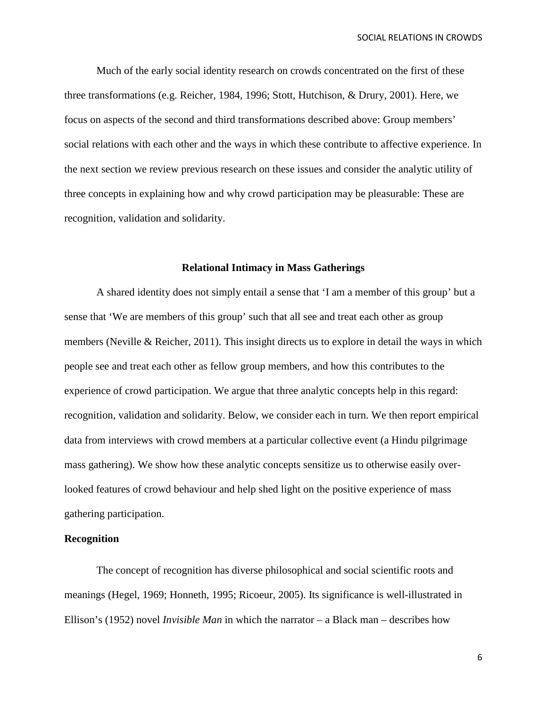Much of the early social identity research on crowds concentrated on the first of these three transformations (e.g. Reicher, 1984, 1996; Stott, Hutchison, & Drury, 2001). Here, we focus on aspects of the second and third transformations described above: Group members' social relations with each other and the ways in which these contribute to affective experience. In the next section we review previous research on these issues and consider the analytic utility of three concepts in explaining how and why crowd participation may be pleasurable: These are recognition, validation and solidarity.

## **Relational Intimacy in Mass Gatherings**

A shared identity does not simply entail a sense that 'I am a member of this group' but a sense that 'We are members of this group' such that all see and treat each other as group members (Neville & Reicher, 2011). This insight directs us to explore in detail the ways in which people see and treat each other as fellow group members, and how this contributes to the experience of crowd participation. We argue that three analytic concepts help in this regard: recognition, validation and solidarity. Below, we consider each in turn. We then report empirical data from interviews with crowd members at a particular collective event (a Hindu pilgrimage mass gathering). We show how these analytic concepts sensitize us to otherwise easily overlooked features of crowd behaviour and help shed light on the positive experience of mass gathering participation.

## **Recognition**

The concept of recognition has diverse philosophical and social scientific roots and meanings (Hegel, 1969; Honneth, 1995; Ricoeur, 2005). Its significance is well-illustrated in Ellison's (1952) novel *Invisible Man* in which the narrator – a Black man – describes how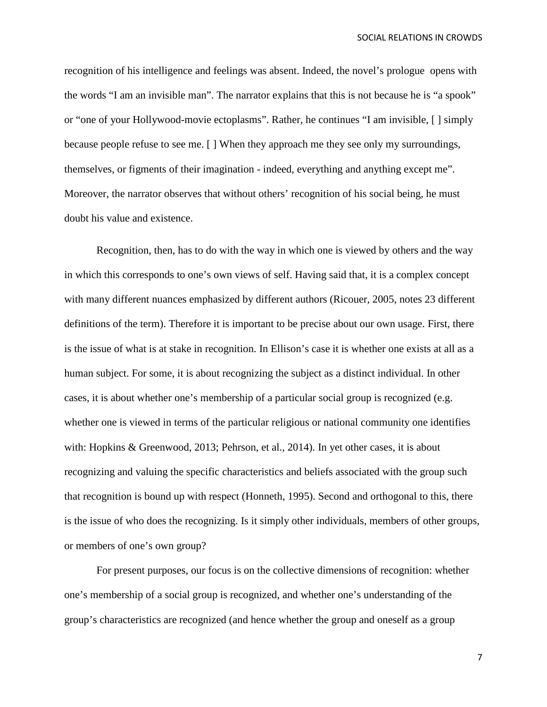recognition of his intelligence and feelings was absent. Indeed, the novel's prologue opens with the words "I am an invisible man". The narrator explains that this is not because he is "a spook" or "one of your Hollywood-movie ectoplasms". Rather, he continues "I am invisible, [ ] simply because people refuse to see me. [ ] When they approach me they see only my surroundings, themselves, or figments of their imagination - indeed, everything and anything except me". Moreover, the narrator observes that without others' recognition of his social being, he must doubt his value and existence.

Recognition, then, has to do with the way in which one is viewed by others and the way in which this corresponds to one's own views of self. Having said that, it is a complex concept with many different nuances emphasized by different authors (Ricouer, 2005, notes 23 different definitions of the term). Therefore it is important to be precise about our own usage. First, there is the issue of what is at stake in recognition. In Ellison's case it is whether one exists at all as a human subject. For some, it is about recognizing the subject as a distinct individual. In other cases, it is about whether one's membership of a particular social group is recognized (e.g. whether one is viewed in terms of the particular religious or national community one identifies with: Hopkins & Greenwood, 2013; Pehrson, et al., 2014). In yet other cases, it is about recognizing and valuing the specific characteristics and beliefs associated with the group such that recognition is bound up with respect (Honneth, 1995). Second and orthogonal to this, there is the issue of who does the recognizing. Is it simply other individuals, members of other groups, or members of one's own group?

For present purposes, our focus is on the collective dimensions of recognition: whether one's membership of a social group is recognized, and whether one's understanding of the group's characteristics are recognized (and hence whether the group and oneself as a group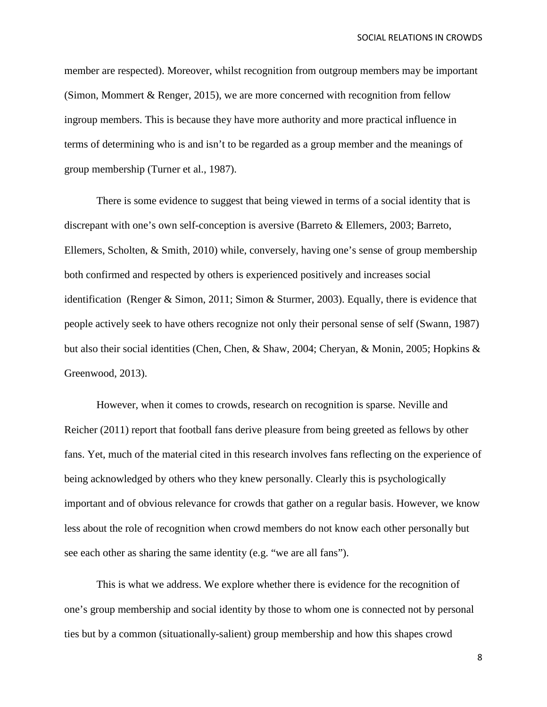member are respected). Moreover, whilst recognition from outgroup members may be important (Simon, Mommert & Renger, 2015), we are more concerned with recognition from fellow ingroup members. This is because they have more authority and more practical influence in terms of determining who is and isn't to be regarded as a group member and the meanings of group membership (Turner et al., 1987).

There is some evidence to suggest that being viewed in terms of a social identity that is discrepant with one's own self-conception is aversive (Barreto & Ellemers, 2003; Barreto, Ellemers, Scholten, & Smith, 2010) while, conversely, having one's sense of group membership both confirmed and respected by others is experienced positively and increases social identification (Renger & Simon, 2011; Simon & Sturmer, 2003). Equally, there is evidence that people actively seek to have others recognize not only their personal sense of self (Swann, 1987) but also their social identities (Chen, Chen, & Shaw, 2004; Cheryan, & Monin, 2005; Hopkins & Greenwood, 2013).

However, when it comes to crowds, research on recognition is sparse. Neville and Reicher (2011) report that football fans derive pleasure from being greeted as fellows by other fans. Yet, much of the material cited in this research involves fans reflecting on the experience of being acknowledged by others who they knew personally. Clearly this is psychologically important and of obvious relevance for crowds that gather on a regular basis. However, we know less about the role of recognition when crowd members do not know each other personally but see each other as sharing the same identity (e.g. "we are all fans").

This is what we address. We explore whether there is evidence for the recognition of one's group membership and social identity by those to whom one is connected not by personal ties but by a common (situationally-salient) group membership and how this shapes crowd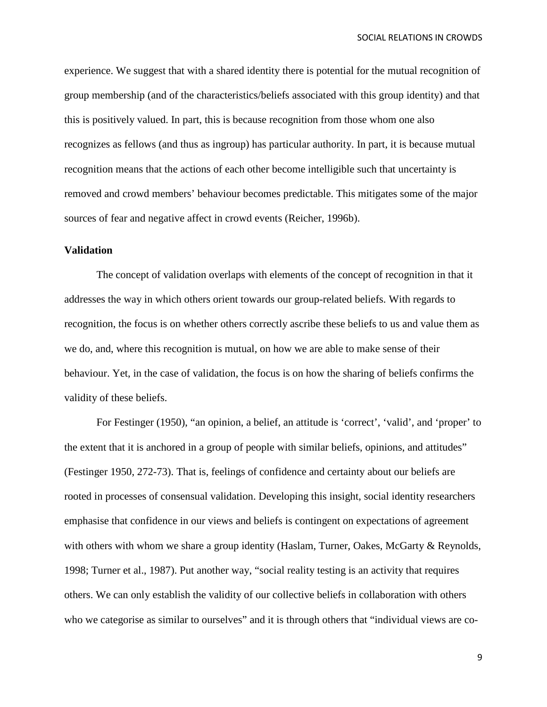experience. We suggest that with a shared identity there is potential for the mutual recognition of group membership (and of the characteristics/beliefs associated with this group identity) and that this is positively valued. In part, this is because recognition from those whom one also recognizes as fellows (and thus as ingroup) has particular authority. In part, it is because mutual recognition means that the actions of each other become intelligible such that uncertainty is removed and crowd members' behaviour becomes predictable. This mitigates some of the major sources of fear and negative affect in crowd events (Reicher, 1996b).

## **Validation**

The concept of validation overlaps with elements of the concept of recognition in that it addresses the way in which others orient towards our group-related beliefs. With regards to recognition, the focus is on whether others correctly ascribe these beliefs to us and value them as we do, and, where this recognition is mutual, on how we are able to make sense of their behaviour. Yet, in the case of validation, the focus is on how the sharing of beliefs confirms the validity of these beliefs.

For Festinger (1950), "an opinion, a belief, an attitude is 'correct', 'valid', and 'proper' to the extent that it is anchored in a group of people with similar beliefs, opinions, and attitudes" (Festinger 1950, 272-73). That is, feelings of confidence and certainty about our beliefs are rooted in processes of consensual validation. Developing this insight, social identity researchers emphasise that confidence in our views and beliefs is contingent on expectations of agreement with others with whom we share a group identity (Haslam, Turner, Oakes, McGarty & Reynolds, 1998; Turner et al., 1987). Put another way, "social reality testing is an activity that requires others. We can only establish the validity of our collective beliefs in collaboration with others who we categorise as similar to ourselves" and it is through others that "individual views are co-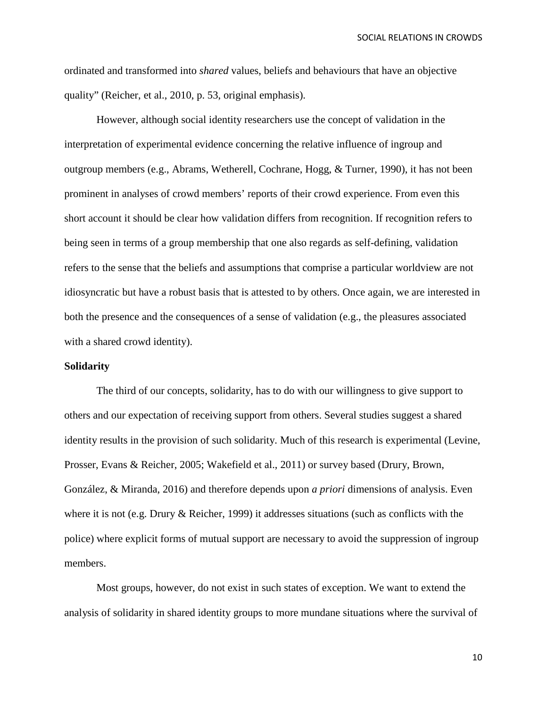ordinated and transformed into *shared* values, beliefs and behaviours that have an objective quality" (Reicher, et al., 2010, p. 53, original emphasis).

However, although social identity researchers use the concept of validation in the interpretation of experimental evidence concerning the relative influence of ingroup and outgroup members (e.g., Abrams, Wetherell, Cochrane, Hogg, & Turner, 1990), it has not been prominent in analyses of crowd members' reports of their crowd experience. From even this short account it should be clear how validation differs from recognition. If recognition refers to being seen in terms of a group membership that one also regards as self-defining, validation refers to the sense that the beliefs and assumptions that comprise a particular worldview are not idiosyncratic but have a robust basis that is attested to by others. Once again, we are interested in both the presence and the consequences of a sense of validation (e.g., the pleasures associated with a shared crowd identity).

# **Solidarity**

The third of our concepts, solidarity, has to do with our willingness to give support to others and our expectation of receiving support from others. Several studies suggest a shared identity results in the provision of such solidarity. Much of this research is experimental (Levine, Prosser, Evans & Reicher, 2005; Wakefield et al., 2011) or survey based (Drury, Brown, González, & Miranda, 2016) and therefore depends upon *a priori* dimensions of analysis. Even where it is not (e.g. Drury & Reicher, 1999) it addresses situations (such as conflicts with the police) where explicit forms of mutual support are necessary to avoid the suppression of ingroup members.

Most groups, however, do not exist in such states of exception. We want to extend the analysis of solidarity in shared identity groups to more mundane situations where the survival of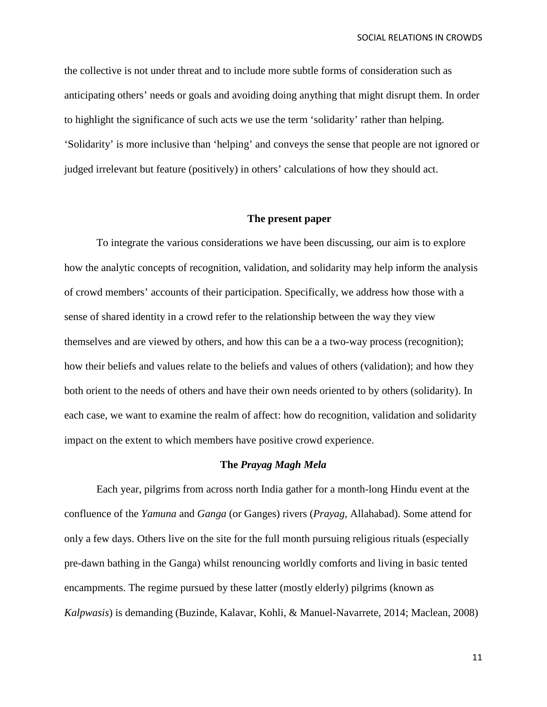the collective is not under threat and to include more subtle forms of consideration such as anticipating others' needs or goals and avoiding doing anything that might disrupt them. In order to highlight the significance of such acts we use the term 'solidarity' rather than helping. 'Solidarity' is more inclusive than 'helping' and conveys the sense that people are not ignored or judged irrelevant but feature (positively) in others' calculations of how they should act.

## **The present paper**

To integrate the various considerations we have been discussing, our aim is to explore how the analytic concepts of recognition, validation, and solidarity may help inform the analysis of crowd members' accounts of their participation. Specifically, we address how those with a sense of shared identity in a crowd refer to the relationship between the way they view themselves and are viewed by others, and how this can be a a two-way process (recognition); how their beliefs and values relate to the beliefs and values of others (validation); and how they both orient to the needs of others and have their own needs oriented to by others (solidarity). In each case, we want to examine the realm of affect: how do recognition, validation and solidarity impact on the extent to which members have positive crowd experience.

#### **The** *Prayag Magh Mela*

Each year, pilgrims from across north India gather for a month-long Hindu event at the confluence of the *Yamuna* and *Ganga* (or Ganges) rivers (*Prayag*, Allahabad). Some attend for only a few days. Others live on the site for the full month pursuing religious rituals (especially pre-dawn bathing in the Ganga) whilst renouncing worldly comforts and living in basic tented encampments. The regime pursued by these latter (mostly elderly) pilgrims (known as *Kalpwasis*) is demanding (Buzinde, Kalavar, Kohli, & Manuel-Navarrete, 2014; Maclean, 2008)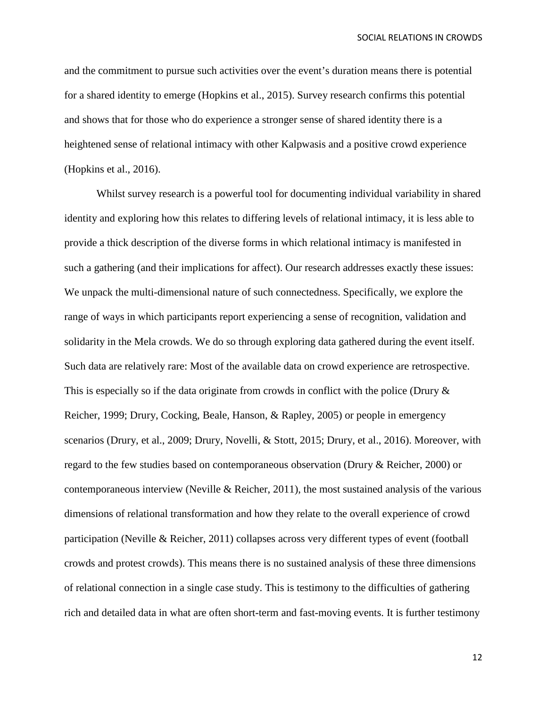and the commitment to pursue such activities over the event's duration means there is potential for a shared identity to emerge (Hopkins et al., 2015). Survey research confirms this potential and shows that for those who do experience a stronger sense of shared identity there is a heightened sense of relational intimacy with other Kalpwasis and a positive crowd experience (Hopkins et al., 2016).

Whilst survey research is a powerful tool for documenting individual variability in shared identity and exploring how this relates to differing levels of relational intimacy, it is less able to provide a thick description of the diverse forms in which relational intimacy is manifested in such a gathering (and their implications for affect). Our research addresses exactly these issues: We unpack the multi-dimensional nature of such connectedness. Specifically, we explore the range of ways in which participants report experiencing a sense of recognition, validation and solidarity in the Mela crowds. We do so through exploring data gathered during the event itself. Such data are relatively rare: Most of the available data on crowd experience are retrospective. This is especially so if the data originate from crowds in conflict with the police (Drury & Reicher, 1999; Drury, Cocking, Beale, Hanson, & Rapley, 2005) or people in emergency scenarios (Drury, et al., 2009; Drury, Novelli, & Stott, 2015; Drury, et al., 2016). Moreover, with regard to the few studies based on contemporaneous observation (Drury & Reicher, 2000) or contemporaneous interview (Neville & Reicher, 2011), the most sustained analysis of the various dimensions of relational transformation and how they relate to the overall experience of crowd participation (Neville & Reicher, 2011) collapses across very different types of event (football crowds and protest crowds). This means there is no sustained analysis of these three dimensions of relational connection in a single case study. This is testimony to the difficulties of gathering rich and detailed data in what are often short-term and fast-moving events. It is further testimony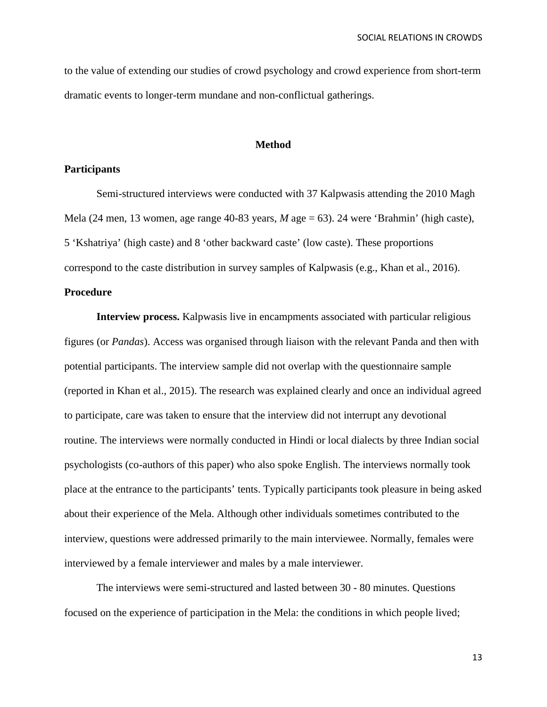to the value of extending our studies of crowd psychology and crowd experience from short-term dramatic events to longer-term mundane and non-conflictual gatherings.

## **Method**

## **Participants**

Semi-structured interviews were conducted with 37 Kalpwasis attending the 2010 Magh Mela (24 men, 13 women, age range 40-83 years, *M* age = 63). 24 were 'Brahmin' (high caste), 5 'Kshatriya' (high caste) and 8 'other backward caste' (low caste). These proportions correspond to the caste distribution in survey samples of Kalpwasis (e.g., Khan et al., 2016).

# **Procedure**

**Interview process.** Kalpwasis live in encampments associated with particular religious figures (or *Pandas*). Access was organised through liaison with the relevant Panda and then with potential participants. The interview sample did not overlap with the questionnaire sample (reported in Khan et al., 2015). The research was explained clearly and once an individual agreed to participate, care was taken to ensure that the interview did not interrupt any devotional routine. The interviews were normally conducted in Hindi or local dialects by three Indian social psychologists (co-authors of this paper) who also spoke English. The interviews normally took place at the entrance to the participants' tents. Typically participants took pleasure in being asked about their experience of the Mela. Although other individuals sometimes contributed to the interview, questions were addressed primarily to the main interviewee. Normally, females were interviewed by a female interviewer and males by a male interviewer.

The interviews were semi-structured and lasted between 30 - 80 minutes. Questions focused on the experience of participation in the Mela: the conditions in which people lived;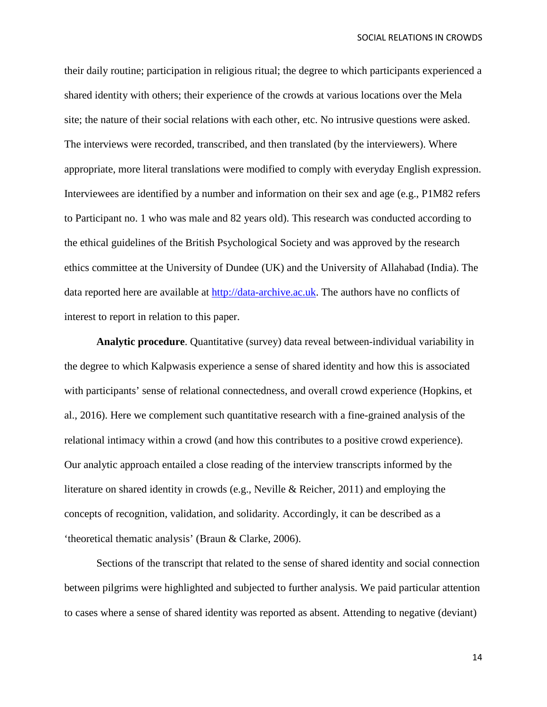their daily routine; participation in religious ritual; the degree to which participants experienced a shared identity with others; their experience of the crowds at various locations over the Mela site; the nature of their social relations with each other, etc. No intrusive questions were asked. The interviews were recorded, transcribed, and then translated (by the interviewers). Where appropriate, more literal translations were modified to comply with everyday English expression. Interviewees are identified by a number and information on their sex and age (e.g., P1M82 refers to Participant no. 1 who was male and 82 years old). This research was conducted according to the ethical guidelines of the British Psychological Society and was approved by the research ethics committee at the University of Dundee (UK) and the University of Allahabad (India). The data reported here are available at [http://data-archive.ac.uk.](http://data-archive.ac.uk/) The authors have no conflicts of interest to report in relation to this paper.

**Analytic procedure**. Quantitative (survey) data reveal between-individual variability in the degree to which Kalpwasis experience a sense of shared identity and how this is associated with participants' sense of relational connectedness, and overall crowd experience (Hopkins, et al., 2016). Here we complement such quantitative research with a fine-grained analysis of the relational intimacy within a crowd (and how this contributes to a positive crowd experience). Our analytic approach entailed a close reading of the interview transcripts informed by the literature on shared identity in crowds (e.g., Neville & Reicher, 2011) and employing the concepts of recognition, validation, and solidarity. Accordingly, it can be described as a 'theoretical thematic analysis' (Braun & Clarke, 2006).

Sections of the transcript that related to the sense of shared identity and social connection between pilgrims were highlighted and subjected to further analysis. We paid particular attention to cases where a sense of shared identity was reported as absent. Attending to negative (deviant)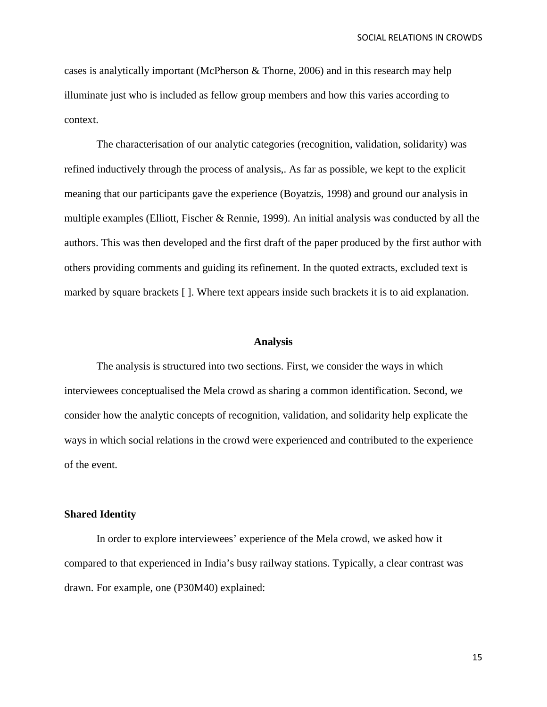cases is analytically important (McPherson & Thorne, 2006) and in this research may help illuminate just who is included as fellow group members and how this varies according to context.

The characterisation of our analytic categories (recognition, validation, solidarity) was refined inductively through the process of analysis,. As far as possible, we kept to the explicit meaning that our participants gave the experience (Boyatzis, 1998) and ground our analysis in multiple examples (Elliott, Fischer & Rennie, 1999). An initial analysis was conducted by all the authors. This was then developed and the first draft of the paper produced by the first author with others providing comments and guiding its refinement. In the quoted extracts, excluded text is marked by square brackets [ ]. Where text appears inside such brackets it is to aid explanation.

### **Analysis**

The analysis is structured into two sections. First, we consider the ways in which interviewees conceptualised the Mela crowd as sharing a common identification. Second, we consider how the analytic concepts of recognition, validation, and solidarity help explicate the ways in which social relations in the crowd were experienced and contributed to the experience of the event.

# **Shared Identity**

In order to explore interviewees' experience of the Mela crowd, we asked how it compared to that experienced in India's busy railway stations. Typically, a clear contrast was drawn. For example, one (P30M40) explained: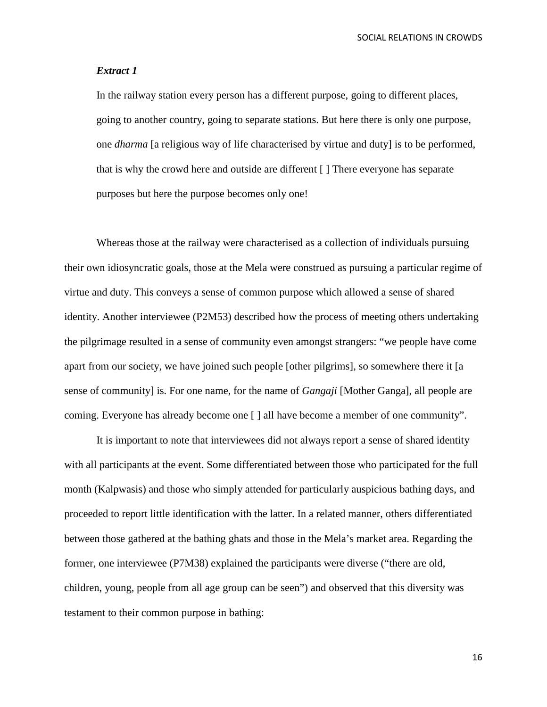# *Extract 1*

In the railway station every person has a different purpose, going to different places, going to another country, going to separate stations. But here there is only one purpose, one *dharma* [a religious way of life characterised by virtue and duty] is to be performed, that is why the crowd here and outside are different [ ] There everyone has separate purposes but here the purpose becomes only one!

Whereas those at the railway were characterised as a collection of individuals pursuing their own idiosyncratic goals, those at the Mela were construed as pursuing a particular regime of virtue and duty. This conveys a sense of common purpose which allowed a sense of shared identity. Another interviewee (P2M53) described how the process of meeting others undertaking the pilgrimage resulted in a sense of community even amongst strangers: "we people have come apart from our society, we have joined such people [other pilgrims], so somewhere there it [a sense of community] is. For one name, for the name of *Gangaji* [Mother Ganga], all people are coming. Everyone has already become one [ ] all have become a member of one community".

It is important to note that interviewees did not always report a sense of shared identity with all participants at the event. Some differentiated between those who participated for the full month (Kalpwasis) and those who simply attended for particularly auspicious bathing days, and proceeded to report little identification with the latter. In a related manner, others differentiated between those gathered at the bathing ghats and those in the Mela's market area. Regarding the former, one interviewee (P7M38) explained the participants were diverse ("there are old, children, young, people from all age group can be seen") and observed that this diversity was testament to their common purpose in bathing: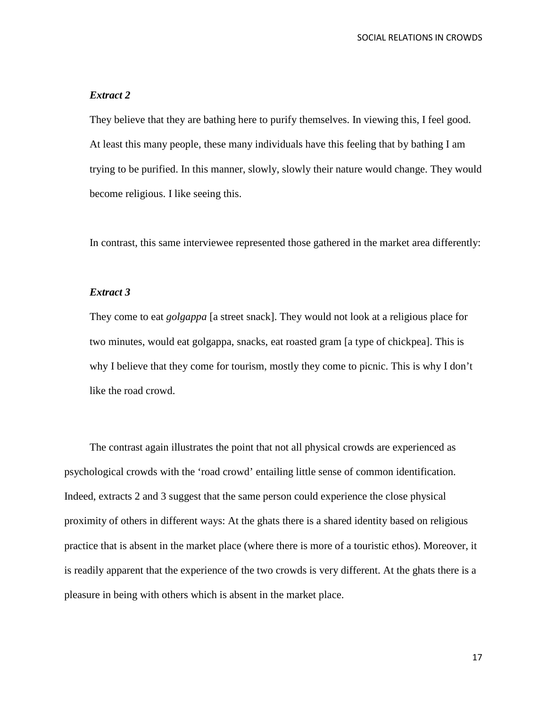# *Extract 2*

They believe that they are bathing here to purify themselves. In viewing this, I feel good. At least this many people, these many individuals have this feeling that by bathing I am trying to be purified. In this manner, slowly, slowly their nature would change. They would become religious. I like seeing this.

In contrast, this same interviewee represented those gathered in the market area differently:

### *Extract 3*

They come to eat *golgappa* [a street snack]. They would not look at a religious place for two minutes, would eat golgappa, snacks, eat roasted gram [a type of chickpea]. This is why I believe that they come for tourism, mostly they come to picnic. This is why I don't like the road crowd.

The contrast again illustrates the point that not all physical crowds are experienced as psychological crowds with the 'road crowd' entailing little sense of common identification. Indeed, extracts 2 and 3 suggest that the same person could experience the close physical proximity of others in different ways: At the ghats there is a shared identity based on religious practice that is absent in the market place (where there is more of a touristic ethos). Moreover, it is readily apparent that the experience of the two crowds is very different. At the ghats there is a pleasure in being with others which is absent in the market place.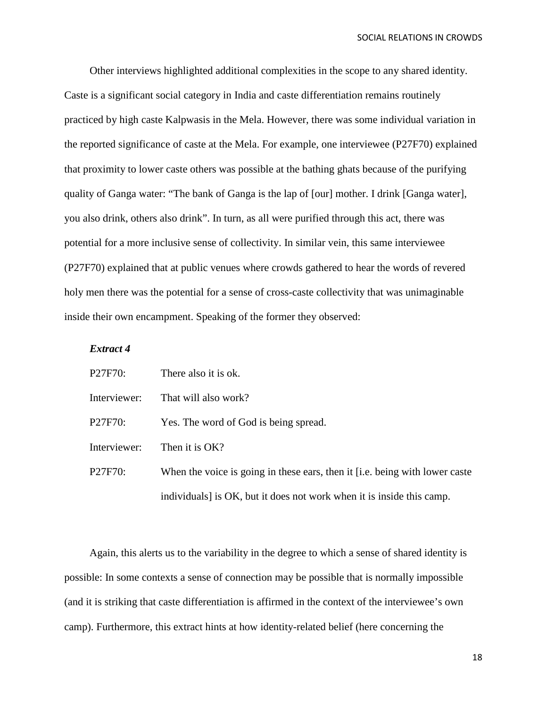Other interviews highlighted additional complexities in the scope to any shared identity. Caste is a significant social category in India and caste differentiation remains routinely practiced by high caste Kalpwasis in the Mela. However, there was some individual variation in the reported significance of caste at the Mela. For example, one interviewee (P27F70) explained that proximity to lower caste others was possible at the bathing ghats because of the purifying quality of Ganga water: "The bank of Ganga is the lap of [our] mother. I drink [Ganga water], you also drink, others also drink". In turn, as all were purified through this act, there was potential for a more inclusive sense of collectivity. In similar vein, this same interviewee (P27F70) explained that at public venues where crowds gathered to hear the words of revered holy men there was the potential for a sense of cross-caste collectivity that was unimaginable inside their own encampment. Speaking of the former they observed:

# *Extract 4*

| P27F70:      | There also it is ok.                                                        |
|--------------|-----------------------------------------------------------------------------|
| Interviewer: | That will also work?                                                        |
| P27F70:      | Yes. The word of God is being spread.                                       |
| Interviewer: | Then it is OK?                                                              |
| P27F70:      | When the voice is going in these ears, then it [i.e. being with lower caste |
|              | individuals] is OK, but it does not work when it is inside this camp.       |

Again, this alerts us to the variability in the degree to which a sense of shared identity is possible: In some contexts a sense of connection may be possible that is normally impossible (and it is striking that caste differentiation is affirmed in the context of the interviewee's own camp). Furthermore, this extract hints at how identity-related belief (here concerning the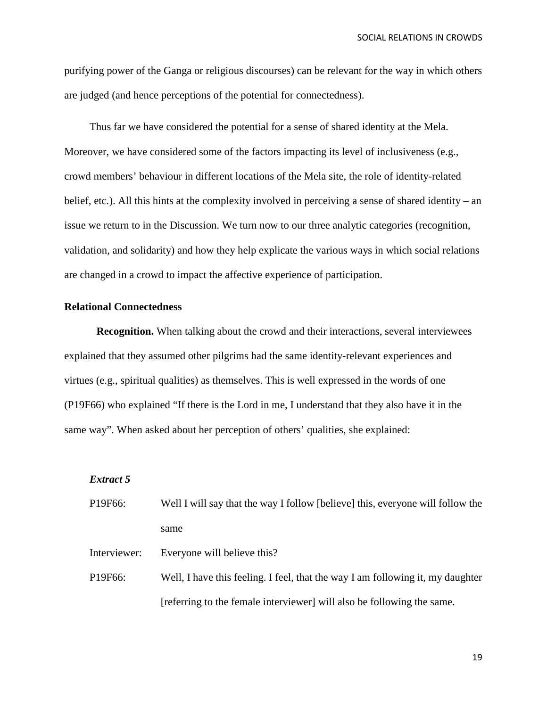purifying power of the Ganga or religious discourses) can be relevant for the way in which others are judged (and hence perceptions of the potential for connectedness).

Thus far we have considered the potential for a sense of shared identity at the Mela. Moreover, we have considered some of the factors impacting its level of inclusiveness (e.g., crowd members' behaviour in different locations of the Mela site, the role of identity-related belief, etc.). All this hints at the complexity involved in perceiving a sense of shared identity – an issue we return to in the Discussion. We turn now to our three analytic categories (recognition, validation, and solidarity) and how they help explicate the various ways in which social relations are changed in a crowd to impact the affective experience of participation.

# **Relational Connectedness**

**Recognition.** When talking about the crowd and their interactions, several interviewees explained that they assumed other pilgrims had the same identity-relevant experiences and virtues (e.g., spiritual qualities) as themselves. This is well expressed in the words of one (P19F66) who explained "If there is the Lord in me, I understand that they also have it in the same way". When asked about her perception of others' qualities, she explained:

### *Extract 5*

| P19F66:      | Well I will say that the way I follow [believe] this, everyone will follow the |
|--------------|--------------------------------------------------------------------------------|
|              | same                                                                           |
| Interviewer: | Everyone will believe this?                                                    |

P19F66: Well, I have this feeling. I feel, that the way I am following it, my daughter [referring to the female interviewer] will also be following the same.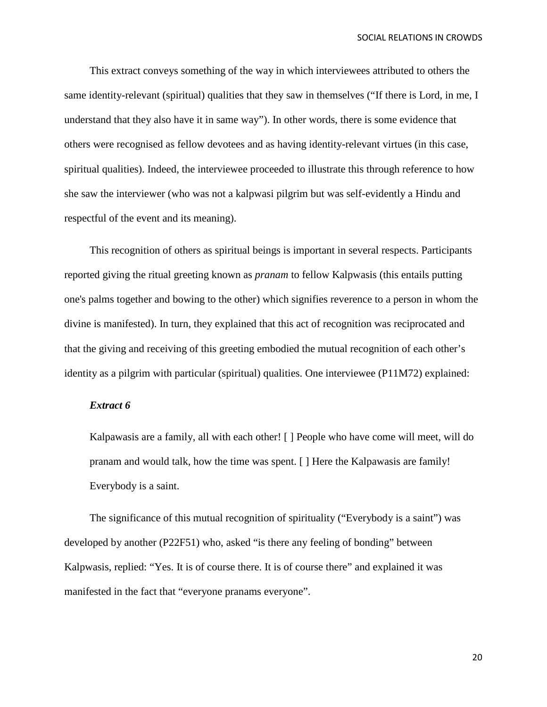This extract conveys something of the way in which interviewees attributed to others the same identity-relevant (spiritual) qualities that they saw in themselves ("If there is Lord, in me, I understand that they also have it in same way"). In other words, there is some evidence that others were recognised as fellow devotees and as having identity-relevant virtues (in this case, spiritual qualities). Indeed, the interviewee proceeded to illustrate this through reference to how she saw the interviewer (who was not a kalpwasi pilgrim but was self-evidently a Hindu and respectful of the event and its meaning).

This recognition of others as spiritual beings is important in several respects. Participants reported giving the ritual greeting known as *pranam* to fellow Kalpwasis (this entails putting one's palms together and bowing to the other) which signifies reverence to a person in whom the divine is manifested). In turn, they explained that this act of recognition was reciprocated and that the giving and receiving of this greeting embodied the mutual recognition of each other's identity as a pilgrim with particular (spiritual) qualities. One interviewee (P11M72) explained:

## *Extract 6*

Kalpawasis are a family, all with each other! [ ] People who have come will meet, will do pranam and would talk, how the time was spent. [ ] Here the Kalpawasis are family! Everybody is a saint.

The significance of this mutual recognition of spirituality ("Everybody is a saint") was developed by another (P22F51) who, asked "is there any feeling of bonding" between Kalpwasis, replied: "Yes. It is of course there. It is of course there" and explained it was manifested in the fact that "everyone pranams everyone".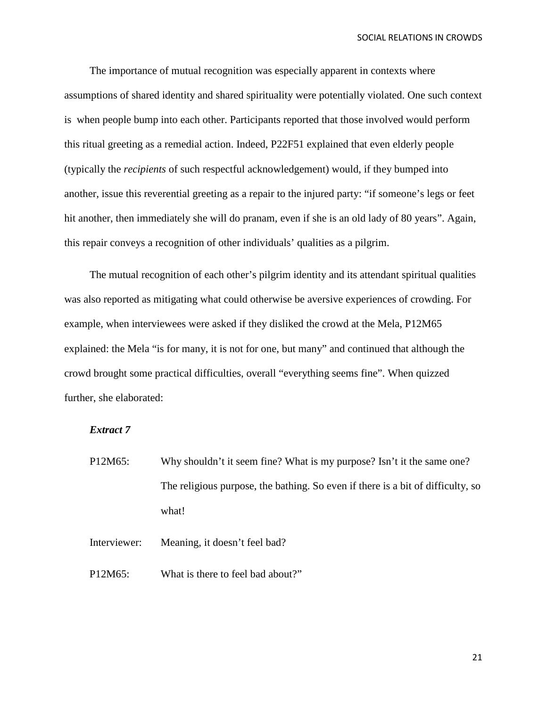The importance of mutual recognition was especially apparent in contexts where assumptions of shared identity and shared spirituality were potentially violated. One such context is when people bump into each other. Participants reported that those involved would perform this ritual greeting as a remedial action. Indeed, P22F51 explained that even elderly people (typically the *recipients* of such respectful acknowledgement) would, if they bumped into another, issue this reverential greeting as a repair to the injured party: "if someone's legs or feet hit another, then immediately she will do pranam*,* even if she is an old lady of 80 years". Again, this repair conveys a recognition of other individuals' qualities as a pilgrim.

The mutual recognition of each other's pilgrim identity and its attendant spiritual qualities was also reported as mitigating what could otherwise be aversive experiences of crowding. For example, when interviewees were asked if they disliked the crowd at the Mela, P12M65 explained: the Mela "is for many, it is not for one, but many" and continued that although the crowd brought some practical difficulties, overall "everything seems fine". When quizzed further, she elaborated:

# *Extract 7*

P12M65: Why shouldn't it seem fine? What is my purpose? Isn't it the same one? The religious purpose, the bathing. So even if there is a bit of difficulty, so what!

Interviewer: Meaning, it doesn't feel bad?

P12M65: What is there to feel bad about?"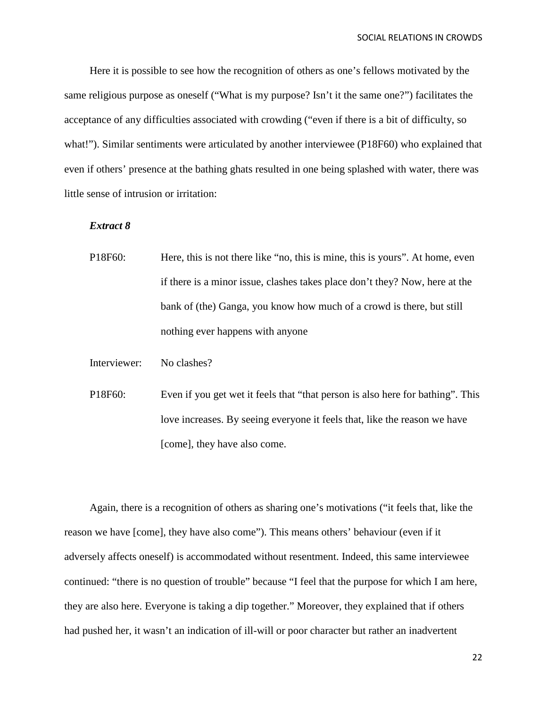Here it is possible to see how the recognition of others as one's fellows motivated by the same religious purpose as oneself ("What is my purpose? Isn't it the same one?") facilitates the acceptance of any difficulties associated with crowding ("even if there is a bit of difficulty, so what!"). Similar sentiments were articulated by another interviewee (P18F60) who explained that even if others' presence at the bathing ghats resulted in one being splashed with water, there was little sense of intrusion or irritation:

#### *Extract 8*

- P18F60: Here, this is not there like "no, this is mine, this is yours". At home, even if there is a minor issue, clashes takes place don't they? Now, here at the bank of (the) Ganga, you know how much of a crowd is there, but still nothing ever happens with anyone
- Interviewer: No clashes?
- P18F60: Even if you get wet it feels that "that person is also here for bathing". This love increases. By seeing everyone it feels that, like the reason we have [come], they have also come.

Again, there is a recognition of others as sharing one's motivations ("it feels that, like the reason we have [come], they have also come"). This means others' behaviour (even if it adversely affects oneself) is accommodated without resentment. Indeed, this same interviewee continued: "there is no question of trouble" because "I feel that the purpose for which I am here, they are also here. Everyone is taking a dip together." Moreover, they explained that if others had pushed her, it wasn't an indication of ill-will or poor character but rather an inadvertent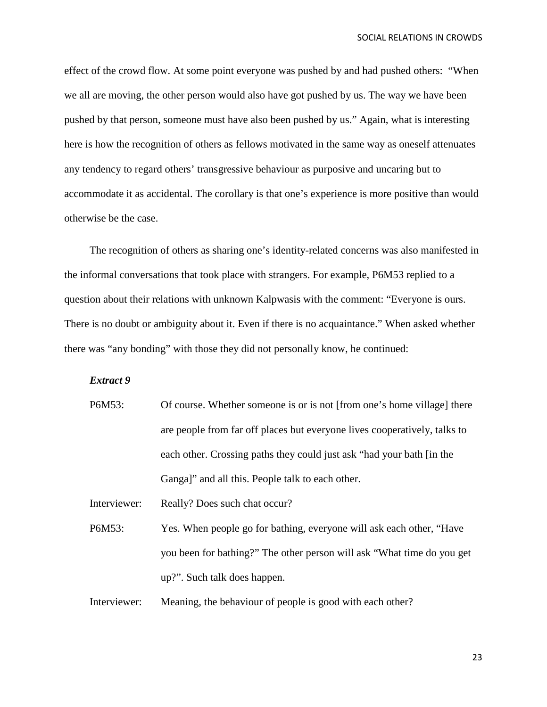effect of the crowd flow. At some point everyone was pushed by and had pushed others: "When we all are moving, the other person would also have got pushed by us. The way we have been pushed by that person, someone must have also been pushed by us." Again, what is interesting here is how the recognition of others as fellows motivated in the same way as oneself attenuates any tendency to regard others' transgressive behaviour as purposive and uncaring but to accommodate it as accidental. The corollary is that one's experience is more positive than would otherwise be the case.

The recognition of others as sharing one's identity-related concerns was also manifested in the informal conversations that took place with strangers. For example, P6M53 replied to a question about their relations with unknown Kalpwasis with the comment: "Everyone is ours. There is no doubt or ambiguity about it. Even if there is no acquaintance." When asked whether there was "any bonding" with those they did not personally know, he continued:

### *Extract 9*

P6M53: Of course. Whether someone is or is not [from one's home village] there are people from far off places but everyone lives cooperatively, talks to each other. Crossing paths they could just ask "had your bath [in the Ganga]" and all this. People talk to each other.

Interviewer: Really? Does such chat occur?

P6M53: Yes. When people go for bathing, everyone will ask each other, "Have you been for bathing?" The other person will ask "What time do you get up?". Such talk does happen.

Interviewer: Meaning, the behaviour of people is good with each other?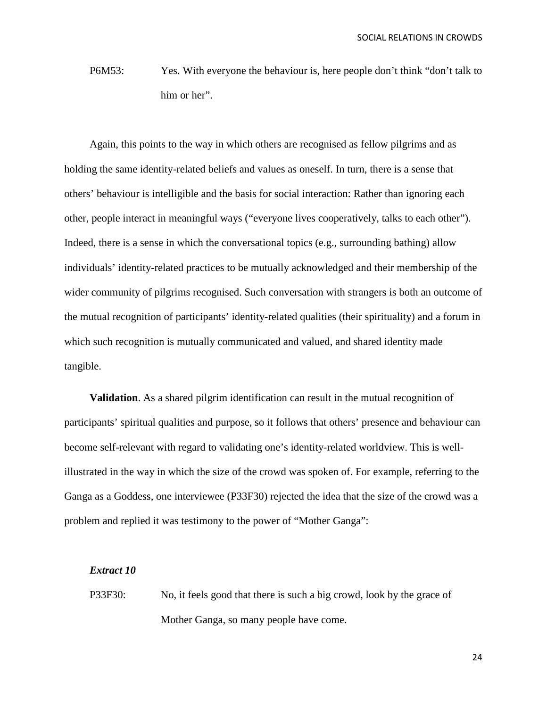P6M53: Yes. With everyone the behaviour is, here people don't think "don't talk to him or her".

Again, this points to the way in which others are recognised as fellow pilgrims and as holding the same identity-related beliefs and values as oneself. In turn, there is a sense that others' behaviour is intelligible and the basis for social interaction: Rather than ignoring each other, people interact in meaningful ways ("everyone lives cooperatively, talks to each other"). Indeed, there is a sense in which the conversational topics (e.g., surrounding bathing) allow individuals' identity-related practices to be mutually acknowledged and their membership of the wider community of pilgrims recognised. Such conversation with strangers is both an outcome of the mutual recognition of participants' identity-related qualities (their spirituality) and a forum in which such recognition is mutually communicated and valued, and shared identity made tangible.

**Validation**. As a shared pilgrim identification can result in the mutual recognition of participants' spiritual qualities and purpose, so it follows that others' presence and behaviour can become self-relevant with regard to validating one's identity-related worldview. This is wellillustrated in the way in which the size of the crowd was spoken of. For example, referring to the Ganga as a Goddess, one interviewee (P33F30) rejected the idea that the size of the crowd was a problem and replied it was testimony to the power of "Mother Ganga":

# *Extract 10*

P33F30: No, it feels good that there is such a big crowd, look by the grace of Mother Ganga, so many people have come.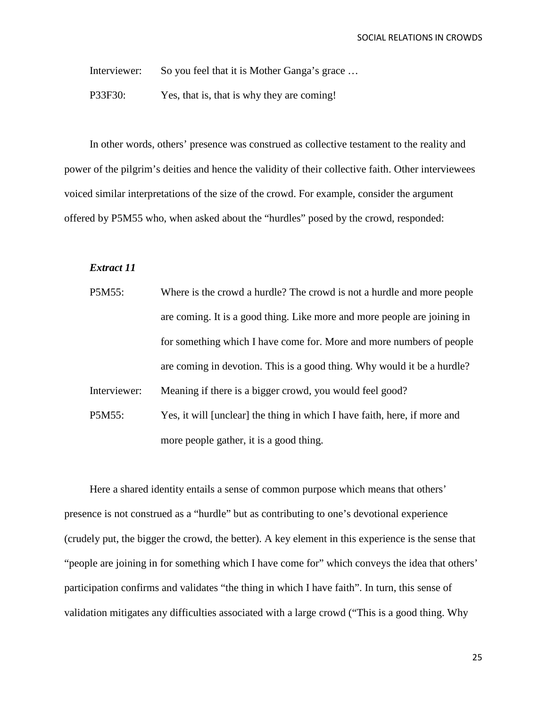Interviewer: So you feel that it is Mother Ganga's grace ...

P33F30: Yes, that is, that is why they are coming!

In other words, others' presence was construed as collective testament to the reality and power of the pilgrim's deities and hence the validity of their collective faith. Other interviewees voiced similar interpretations of the size of the crowd. For example, consider the argument offered by P5M55 who, when asked about the "hurdles" posed by the crowd, responded:

*Extract 11*

P5M55: Where is the crowd a hurdle? The crowd is not a hurdle and more people are coming. It is a good thing. Like more and more people are joining in for something which I have come for. More and more numbers of people are coming in devotion. This is a good thing. Why would it be a hurdle? Interviewer: Meaning if there is a bigger crowd, you would feel good? P5M55: Yes, it will [unclear] the thing in which I have faith, here, if more and more people gather, it is a good thing.

Here a shared identity entails a sense of common purpose which means that others' presence is not construed as a "hurdle" but as contributing to one's devotional experience (crudely put, the bigger the crowd, the better). A key element in this experience is the sense that "people are joining in for something which I have come for" which conveys the idea that others' participation confirms and validates "the thing in which I have faith". In turn, this sense of validation mitigates any difficulties associated with a large crowd ("This is a good thing. Why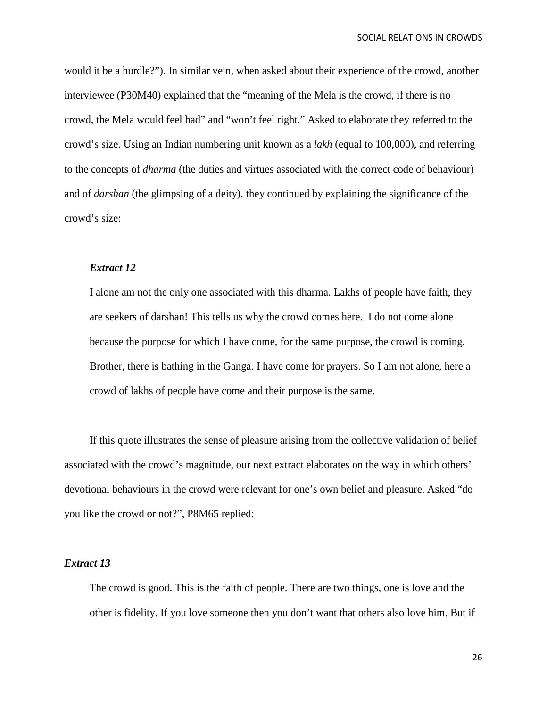would it be a hurdle?"). In similar vein, when asked about their experience of the crowd, another interviewee (P30M40) explained that the "meaning of the Mela is the crowd, if there is no crowd, the Mela would feel bad" and "won't feel right." Asked to elaborate they referred to the crowd's size. Using an Indian numbering unit known as a *lakh* (equal to 100,000), and referring to the concepts of *dharma* (the duties and virtues associated with the correct code of behaviour) and of *darshan* (the glimpsing of a deity), they continued by explaining the significance of the crowd's size:

## *Extract 12*

I alone am not the only one associated with this dharma. Lakhs of people have faith, they are seekers of darshan! This tells us why the crowd comes here. I do not come alone because the purpose for which I have come, for the same purpose, the crowd is coming. Brother, there is bathing in the Ganga. I have come for prayers. So I am not alone, here a crowd of lakhs of people have come and their purpose is the same.

If this quote illustrates the sense of pleasure arising from the collective validation of belief associated with the crowd's magnitude, our next extract elaborates on the way in which others' devotional behaviours in the crowd were relevant for one's own belief and pleasure. Asked "do you like the crowd or not?", P8M65 replied:

#### *Extract 13*

The crowd is good. This is the faith of people. There are two things, one is love and the other is fidelity. If you love someone then you don't want that others also love him. But if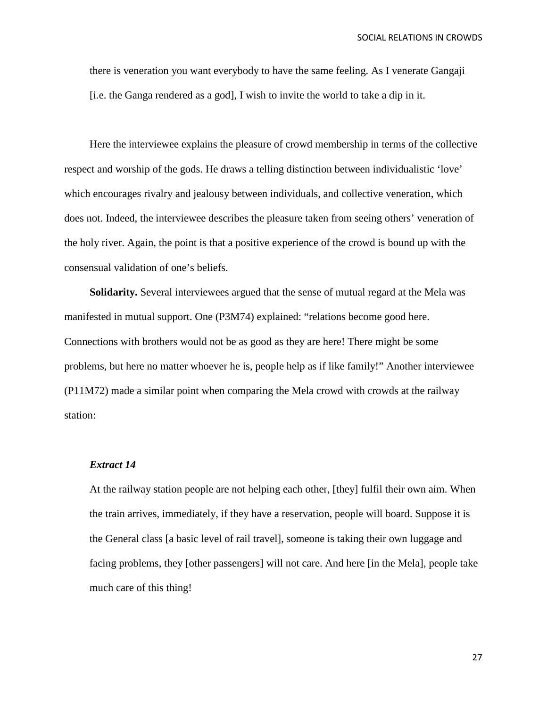there is veneration you want everybody to have the same feeling. As I venerate Gangaji [i.e. the Ganga rendered as a god], I wish to invite the world to take a dip in it.

Here the interviewee explains the pleasure of crowd membership in terms of the collective respect and worship of the gods. He draws a telling distinction between individualistic 'love' which encourages rivalry and jealousy between individuals, and collective veneration, which does not. Indeed, the interviewee describes the pleasure taken from seeing others' veneration of the holy river. Again, the point is that a positive experience of the crowd is bound up with the consensual validation of one's beliefs.

**Solidarity.** Several interviewees argued that the sense of mutual regard at the Mela was manifested in mutual support. One (P3M74) explained: "relations become good here. Connections with brothers would not be as good as they are here! There might be some problems, but here no matter whoever he is, people help as if like family!" Another interviewee (P11M72) made a similar point when comparing the Mela crowd with crowds at the railway station:

#### *Extract 14*

At the railway station people are not helping each other, [they] fulfil their own aim. When the train arrives, immediately, if they have a reservation, people will board. Suppose it is the General class [a basic level of rail travel], someone is taking their own luggage and facing problems, they [other passengers] will not care. And here [in the Mela], people take much care of this thing!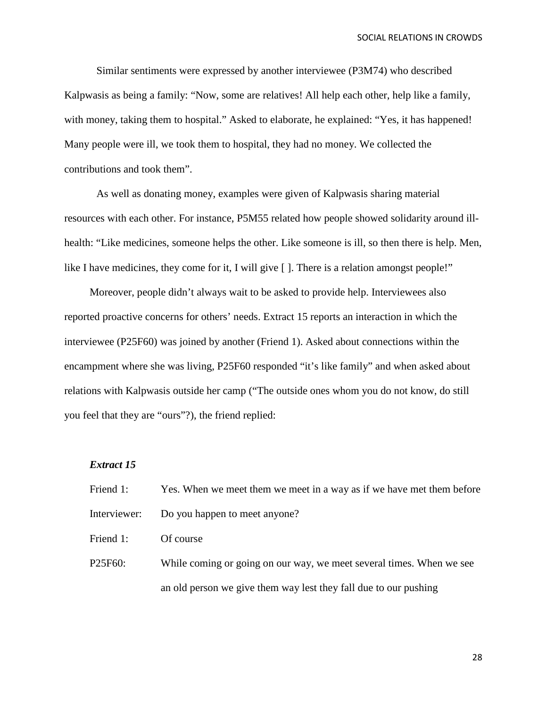Similar sentiments were expressed by another interviewee (P3M74) who described Kalpwasis as being a family: "Now, some are relatives! All help each other, help like a family, with money, taking them to hospital." Asked to elaborate, he explained: "Yes, it has happened! Many people were ill, we took them to hospital, they had no money. We collected the contributions and took them".

As well as donating money, examples were given of Kalpwasis sharing material resources with each other. For instance, P5M55 related how people showed solidarity around illhealth: "Like medicines, someone helps the other. Like someone is ill, so then there is help. Men, like I have medicines, they come for it, I will give []. There is a relation amongst people!"

Moreover, people didn't always wait to be asked to provide help. Interviewees also reported proactive concerns for others' needs. Extract 15 reports an interaction in which the interviewee (P25F60) was joined by another (Friend 1). Asked about connections within the encampment where she was living, P25F60 responded "it's like family" and when asked about relations with Kalpwasis outside her camp ("The outside ones whom you do not know, do still you feel that they are "ours"?), the friend replied:

#### *Extract 15*

| Friend 1:    | Yes. When we meet them we meet in a way as if we have met them before |
|--------------|-----------------------------------------------------------------------|
| Interviewer: | Do you happen to meet anyone?                                         |
| Friend 1:    | Of course                                                             |
| P25F60:      | While coming or going on our way, we meet several times. When we see  |
|              | an old person we give them way lest they fall due to our pushing      |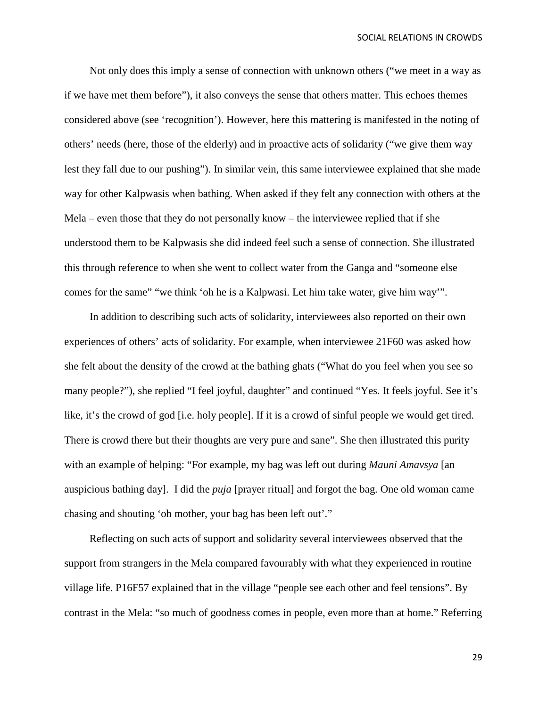Not only does this imply a sense of connection with unknown others ("we meet in a way as if we have met them before"), it also conveys the sense that others matter. This echoes themes considered above (see 'recognition'). However, here this mattering is manifested in the noting of others' needs (here, those of the elderly) and in proactive acts of solidarity ("we give them way lest they fall due to our pushing"). In similar vein, this same interviewee explained that she made way for other Kalpwasis when bathing. When asked if they felt any connection with others at the Mela – even those that they do not personally know – the interviewee replied that if she understood them to be Kalpwasis she did indeed feel such a sense of connection. She illustrated this through reference to when she went to collect water from the Ganga and "someone else comes for the same" "we think 'oh he is a Kalpwasi. Let him take water, give him way'".

In addition to describing such acts of solidarity, interviewees also reported on their own experiences of others' acts of solidarity. For example, when interviewee 21F60 was asked how she felt about the density of the crowd at the bathing ghats ("What do you feel when you see so many people?"), she replied "I feel joyful, daughter" and continued "Yes. It feels joyful. See it's like, it's the crowd of god [i.e. holy people]. If it is a crowd of sinful people we would get tired. There is crowd there but their thoughts are very pure and sane". She then illustrated this purity with an example of helping: "For example, my bag was left out during *Mauni Amavsya* [an auspicious bathing day]. I did the *puja* [prayer ritual] and forgot the bag. One old woman came chasing and shouting 'oh mother, your bag has been left out'."

Reflecting on such acts of support and solidarity several interviewees observed that the support from strangers in the Mela compared favourably with what they experienced in routine village life. P16F57 explained that in the village "people see each other and feel tensions". By contrast in the Mela: "so much of goodness comes in people, even more than at home." Referring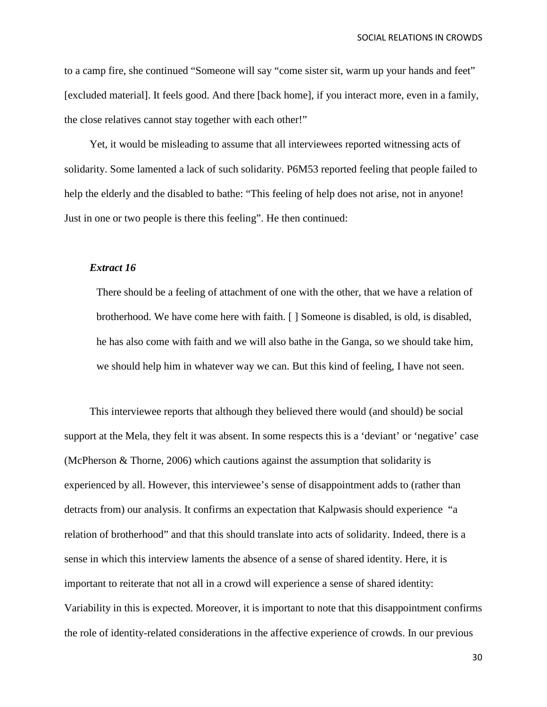to a camp fire, she continued "Someone will say "come sister sit, warm up your hands and feet" [excluded material]. It feels good. And there [back home], if you interact more, even in a family, the close relatives cannot stay together with each other!"

Yet, it would be misleading to assume that all interviewees reported witnessing acts of solidarity. Some lamented a lack of such solidarity. P6M53 reported feeling that people failed to help the elderly and the disabled to bathe: "This feeling of help does not arise, not in anyone! Just in one or two people is there this feeling". He then continued:

## *Extract 16*

There should be a feeling of attachment of one with the other, that we have a relation of brotherhood. We have come here with faith. [ ] Someone is disabled, is old, is disabled, he has also come with faith and we will also bathe in the Ganga, so we should take him, we should help him in whatever way we can. But this kind of feeling, I have not seen.

This interviewee reports that although they believed there would (and should) be social support at the Mela, they felt it was absent. In some respects this is a 'deviant' or 'negative' case (McPherson & Thorne, 2006) which cautions against the assumption that solidarity is experienced by all. However, this interviewee's sense of disappointment adds to (rather than detracts from) our analysis. It confirms an expectation that Kalpwasis should experience "a relation of brotherhood" and that this should translate into acts of solidarity. Indeed, there is a sense in which this interview laments the absence of a sense of shared identity. Here, it is important to reiterate that not all in a crowd will experience a sense of shared identity: Variability in this is expected. Moreover, it is important to note that this disappointment confirms the role of identity-related considerations in the affective experience of crowds. In our previous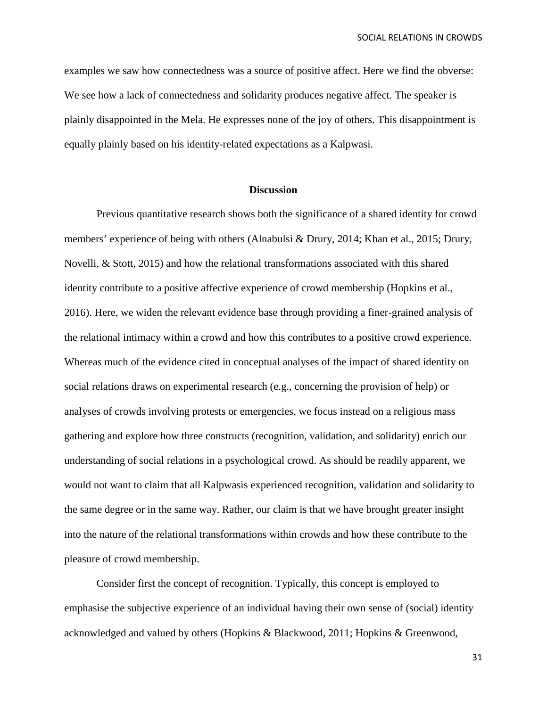examples we saw how connectedness was a source of positive affect. Here we find the obverse: We see how a lack of connectedness and solidarity produces negative affect. The speaker is plainly disappointed in the Mela. He expresses none of the joy of others. This disappointment is equally plainly based on his identity-related expectations as a Kalpwasi.

#### **Discussion**

Previous quantitative research shows both the significance of a shared identity for crowd members' experience of being with others (Alnabulsi & Drury, 2014; Khan et al., 2015; Drury, Novelli, & Stott, 2015) and how the relational transformations associated with this shared identity contribute to a positive affective experience of crowd membership (Hopkins et al., 2016). Here, we widen the relevant evidence base through providing a finer-grained analysis of the relational intimacy within a crowd and how this contributes to a positive crowd experience. Whereas much of the evidence cited in conceptual analyses of the impact of shared identity on social relations draws on experimental research (e.g., concerning the provision of help) or analyses of crowds involving protests or emergencies, we focus instead on a religious mass gathering and explore how three constructs (recognition, validation, and solidarity) enrich our understanding of social relations in a psychological crowd. As should be readily apparent, we would not want to claim that all Kalpwasis experienced recognition, validation and solidarity to the same degree or in the same way. Rather, our claim is that we have brought greater insight into the nature of the relational transformations within crowds and how these contribute to the pleasure of crowd membership.

Consider first the concept of recognition. Typically, this concept is employed to emphasise the subjective experience of an individual having their own sense of (social) identity acknowledged and valued by others (Hopkins & Blackwood, 2011; Hopkins & Greenwood,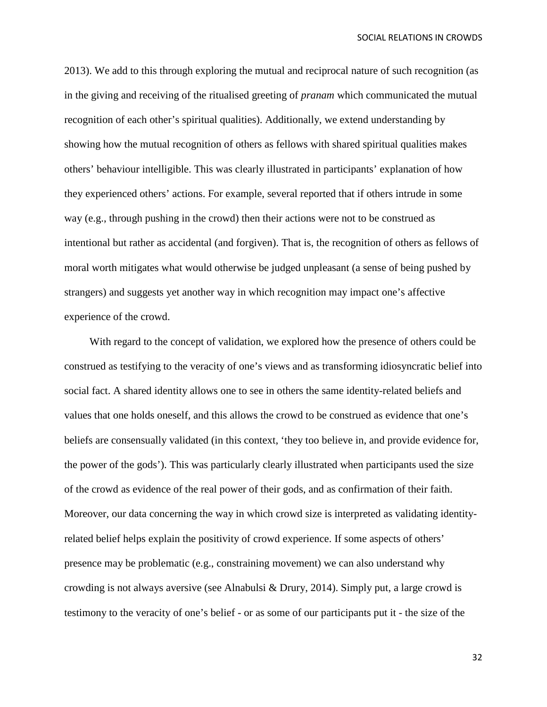2013). We add to this through exploring the mutual and reciprocal nature of such recognition (as in the giving and receiving of the ritualised greeting of *pranam* which communicated the mutual recognition of each other's spiritual qualities). Additionally, we extend understanding by showing how the mutual recognition of others as fellows with shared spiritual qualities makes others' behaviour intelligible. This was clearly illustrated in participants' explanation of how they experienced others' actions. For example, several reported that if others intrude in some way (e.g., through pushing in the crowd) then their actions were not to be construed as intentional but rather as accidental (and forgiven). That is, the recognition of others as fellows of moral worth mitigates what would otherwise be judged unpleasant (a sense of being pushed by strangers) and suggests yet another way in which recognition may impact one's affective experience of the crowd.

With regard to the concept of validation, we explored how the presence of others could be construed as testifying to the veracity of one's views and as transforming idiosyncratic belief into social fact. A shared identity allows one to see in others the same identity-related beliefs and values that one holds oneself, and this allows the crowd to be construed as evidence that one's beliefs are consensually validated (in this context, 'they too believe in, and provide evidence for, the power of the gods'). This was particularly clearly illustrated when participants used the size of the crowd as evidence of the real power of their gods, and as confirmation of their faith. Moreover, our data concerning the way in which crowd size is interpreted as validating identityrelated belief helps explain the positivity of crowd experience. If some aspects of others' presence may be problematic (e.g., constraining movement) we can also understand why crowding is not always aversive (see Alnabulsi & Drury, 2014). Simply put, a large crowd is testimony to the veracity of one's belief - or as some of our participants put it - the size of the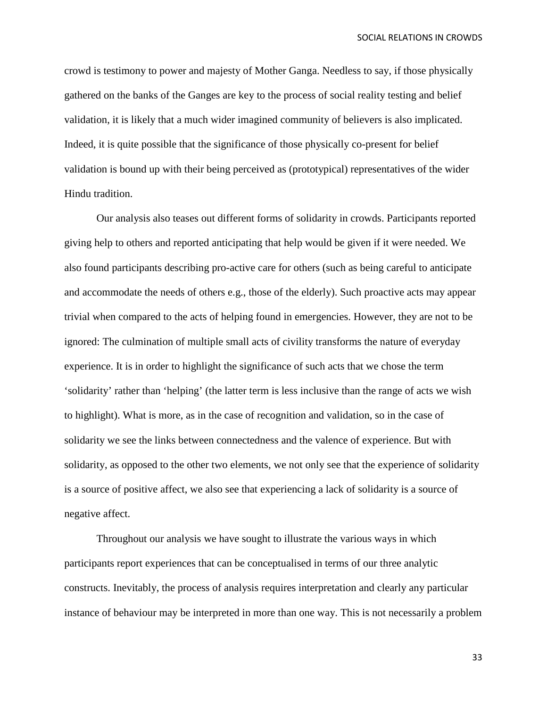crowd is testimony to power and majesty of Mother Ganga. Needless to say, if those physically gathered on the banks of the Ganges are key to the process of social reality testing and belief validation, it is likely that a much wider imagined community of believers is also implicated. Indeed, it is quite possible that the significance of those physically co-present for belief validation is bound up with their being perceived as (prototypical) representatives of the wider Hindu tradition.

Our analysis also teases out different forms of solidarity in crowds. Participants reported giving help to others and reported anticipating that help would be given if it were needed. We also found participants describing pro-active care for others (such as being careful to anticipate and accommodate the needs of others e.g., those of the elderly). Such proactive acts may appear trivial when compared to the acts of helping found in emergencies. However, they are not to be ignored: The culmination of multiple small acts of civility transforms the nature of everyday experience. It is in order to highlight the significance of such acts that we chose the term 'solidarity' rather than 'helping' (the latter term is less inclusive than the range of acts we wish to highlight). What is more, as in the case of recognition and validation, so in the case of solidarity we see the links between connectedness and the valence of experience. But with solidarity, as opposed to the other two elements, we not only see that the experience of solidarity is a source of positive affect, we also see that experiencing a lack of solidarity is a source of negative affect.

Throughout our analysis we have sought to illustrate the various ways in which participants report experiences that can be conceptualised in terms of our three analytic constructs. Inevitably, the process of analysis requires interpretation and clearly any particular instance of behaviour may be interpreted in more than one way. This is not necessarily a problem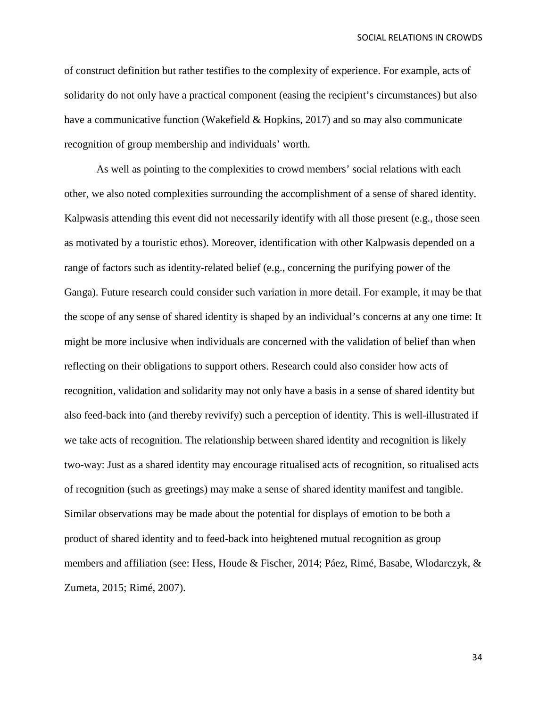of construct definition but rather testifies to the complexity of experience. For example, acts of solidarity do not only have a practical component (easing the recipient's circumstances) but also have a communicative function (Wakefield  $&$  Hopkins, 2017) and so may also communicate recognition of group membership and individuals' worth.

As well as pointing to the complexities to crowd members' social relations with each other, we also noted complexities surrounding the accomplishment of a sense of shared identity. Kalpwasis attending this event did not necessarily identify with all those present (e.g., those seen as motivated by a touristic ethos). Moreover, identification with other Kalpwasis depended on a range of factors such as identity-related belief (e.g., concerning the purifying power of the Ganga). Future research could consider such variation in more detail. For example, it may be that the scope of any sense of shared identity is shaped by an individual's concerns at any one time: It might be more inclusive when individuals are concerned with the validation of belief than when reflecting on their obligations to support others. Research could also consider how acts of recognition, validation and solidarity may not only have a basis in a sense of shared identity but also feed-back into (and thereby revivify) such a perception of identity. This is well-illustrated if we take acts of recognition. The relationship between shared identity and recognition is likely two-way: Just as a shared identity may encourage ritualised acts of recognition, so ritualised acts of recognition (such as greetings) may make a sense of shared identity manifest and tangible. Similar observations may be made about the potential for displays of emotion to be both a product of shared identity and to feed-back into heightened mutual recognition as group members and affiliation (see: Hess, Houde & Fischer, 2014; Páez, Rimé, Basabe, Wlodarczyk, & Zumeta, 2015; Rimé, 2007).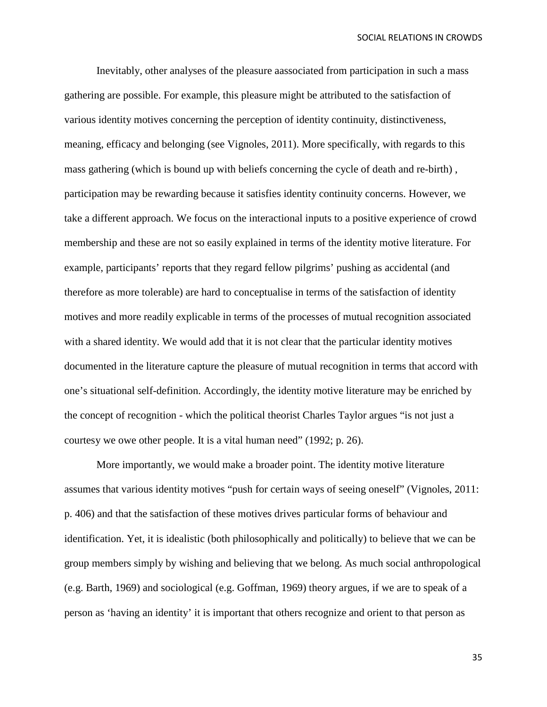Inevitably, other analyses of the pleasure aassociated from participation in such a mass gathering are possible. For example, this pleasure might be attributed to the satisfaction of various identity motives concerning the perception of identity continuity, distinctiveness, meaning, efficacy and belonging (see Vignoles, 2011). More specifically, with regards to this mass gathering (which is bound up with beliefs concerning the cycle of death and re-birth) , participation may be rewarding because it satisfies identity continuity concerns. However, we take a different approach. We focus on the interactional inputs to a positive experience of crowd membership and these are not so easily explained in terms of the identity motive literature. For example, participants' reports that they regard fellow pilgrims' pushing as accidental (and therefore as more tolerable) are hard to conceptualise in terms of the satisfaction of identity motives and more readily explicable in terms of the processes of mutual recognition associated with a shared identity. We would add that it is not clear that the particular identity motives documented in the literature capture the pleasure of mutual recognition in terms that accord with one's situational self-definition. Accordingly, the identity motive literature may be enriched by the concept of recognition - which the political theorist Charles Taylor argues "is not just a courtesy we owe other people. It is a vital human need" (1992; p. 26).

More importantly, we would make a broader point. The identity motive literature assumes that various identity motives "push for certain ways of seeing oneself" (Vignoles, 2011: p. 406) and that the satisfaction of these motives drives particular forms of behaviour and identification. Yet, it is idealistic (both philosophically and politically) to believe that we can be group members simply by wishing and believing that we belong. As much social anthropological (e.g. Barth, 1969) and sociological (e.g. Goffman, 1969) theory argues, if we are to speak of a person as 'having an identity' it is important that others recognize and orient to that person as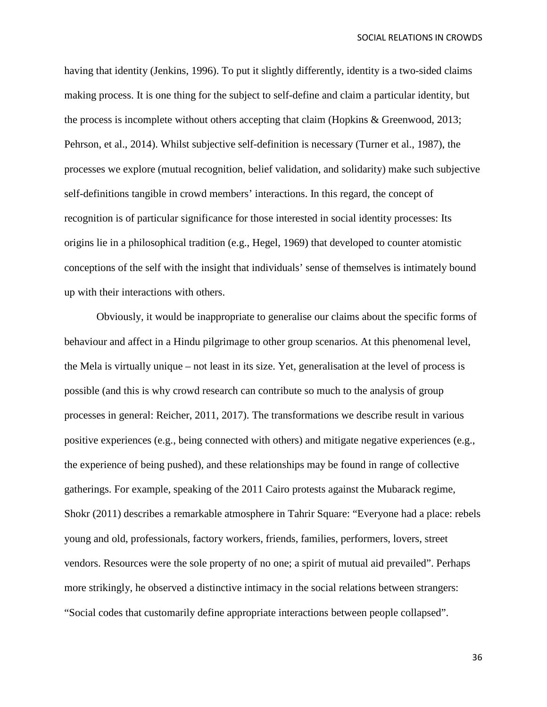having that identity (Jenkins, 1996). To put it slightly differently, identity is a two-sided claims making process. It is one thing for the subject to self-define and claim a particular identity, but the process is incomplete without others accepting that claim (Hopkins & Greenwood, 2013; Pehrson, et al., 2014). Whilst subjective self-definition is necessary (Turner et al., 1987), the processes we explore (mutual recognition, belief validation, and solidarity) make such subjective self-definitions tangible in crowd members' interactions. In this regard, the concept of recognition is of particular significance for those interested in social identity processes: Its origins lie in a philosophical tradition (e.g., Hegel, 1969) that developed to counter atomistic conceptions of the self with the insight that individuals' sense of themselves is intimately bound up with their interactions with others.

Obviously, it would be inappropriate to generalise our claims about the specific forms of behaviour and affect in a Hindu pilgrimage to other group scenarios. At this phenomenal level, the Mela is virtually unique – not least in its size. Yet, generalisation at the level of process is possible (and this is why crowd research can contribute so much to the analysis of group processes in general: Reicher, 2011, 2017). The transformations we describe result in various positive experiences (e.g., being connected with others) and mitigate negative experiences (e.g., the experience of being pushed), and these relationships may be found in range of collective gatherings. For example, speaking of the 2011 Cairo protests against the Mubarack regime, Shokr (2011) describes a remarkable atmosphere in Tahrir Square: "Everyone had a place: rebels young and old, professionals, factory workers, friends, families, performers, lovers, street vendors. Resources were the sole property of no one; a spirit of mutual aid prevailed". Perhaps more strikingly, he observed a distinctive intimacy in the social relations between strangers: "Social codes that customarily define appropriate interactions between people collapsed".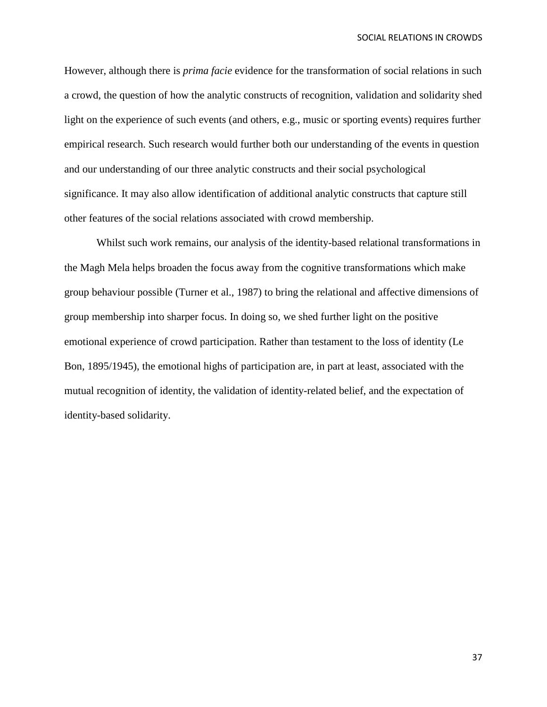However, although there is *prima facie* evidence for the transformation of social relations in such a crowd, the question of how the analytic constructs of recognition, validation and solidarity shed light on the experience of such events (and others, e.g., music or sporting events) requires further empirical research. Such research would further both our understanding of the events in question and our understanding of our three analytic constructs and their social psychological significance. It may also allow identification of additional analytic constructs that capture still other features of the social relations associated with crowd membership.

Whilst such work remains, our analysis of the identity-based relational transformations in the Magh Mela helps broaden the focus away from the cognitive transformations which make group behaviour possible (Turner et al., 1987) to bring the relational and affective dimensions of group membership into sharper focus. In doing so, we shed further light on the positive emotional experience of crowd participation. Rather than testament to the loss of identity (Le Bon, 1895/1945), the emotional highs of participation are, in part at least, associated with the mutual recognition of identity, the validation of identity-related belief, and the expectation of identity-based solidarity.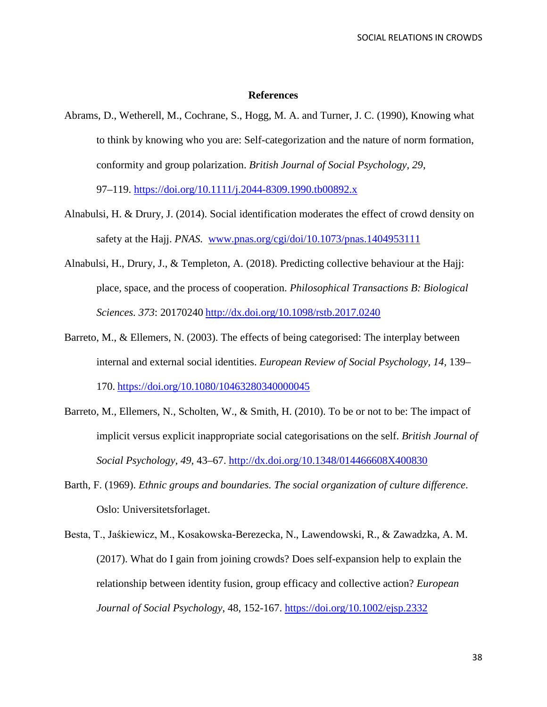# **References**

- Abrams, D., Wetherell, M., Cochrane, S., Hogg, M. A. and Turner, J. C. (1990), Knowing what to think by knowing who you are: Self-categorization and the nature of norm formation, conformity and group polarization. *British Journal of Social Psychology, 29*, 97–119.<https://doi.org/10.1111/j.2044-8309.1990.tb00892.x>
- Alnabulsi, H. & Drury, J. (2014). Social identification moderates the effect of crowd density on safety at the Hajj. *PNAS.* [www.pnas.org/cgi/doi/10.1073/pnas.1404953111](http://www.pnas.org/cgi/doi/10.1073/pnas.1404953111)
- Alnabulsi, H., Drury, J., & Templeton, A. (2018). Predicting collective behaviour at the Hajj: place, space, and the process of cooperation. *Philosophical Transactions B: Biological Sciences. 373*: 20170240 <http://dx.doi.org/10.1098/rstb.2017.0240>
- Barreto, M., & Ellemers, N. (2003). The effects of being categorised: The interplay between internal and external social identities. *European Review of Social Psychology, 14,* 139– 170. <https://doi.org/10.1080/10463280340000045>
- Barreto, M., Ellemers, N., Scholten, W., & Smith, H. (2010). To be or not to be: The impact of implicit versus explicit inappropriate social categorisations on the self. *British Journal of Social Psychology, 49,* 43–67. [http://dx.doi.org/10.1348/014466608X400830](http://psycnet.apa.org/doi/10.1348/014466608X400830)
- Barth, F. (1969). *Ethnic groups and boundaries. The social organization of culture difference*. Oslo: Universitetsforlaget.
- Besta, T., Jaśkiewicz, M., Kosakowska-Berezecka, N., Lawendowski, R., & Zawadzka, A. M. (2017). What do I gain from joining crowds? Does self-expansion help to explain the relationship between identity fusion, group efficacy and collective action? *European Journal of Social Psychology*, 48, 152-167. <https://doi.org/10.1002/ejsp.2332>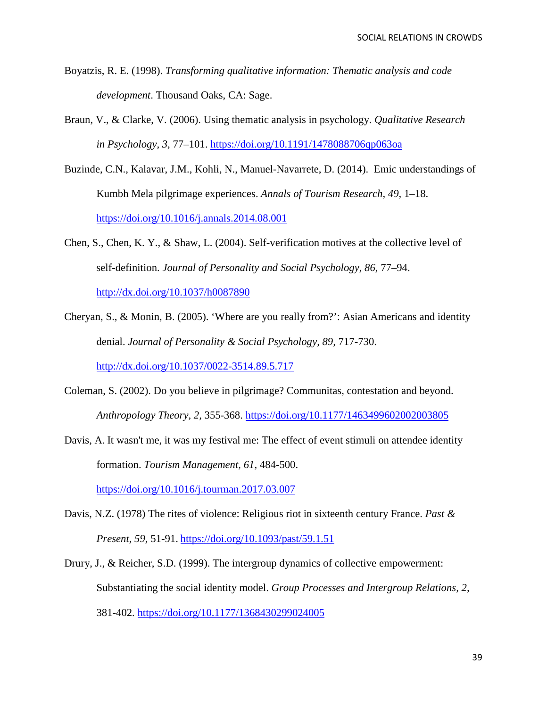- Boyatzis, R. E. (1998). *Transforming qualitative information: Thematic analysis and code development*. Thousand Oaks, CA: Sage.
- Braun, V., & Clarke, V. (2006). Using thematic analysis in psychology. *Qualitative Research in Psychology, 3,* 77–101.<https://doi.org/10.1191/1478088706qp063oa>
- Buzinde, C.N., Kalavar, J.M., Kohli, N., Manuel-Navarrete, D. (2014). Emic understandings of Kumbh Mela pilgrimage experiences. *Annals of Tourism Research, 49,* 1–18. <https://doi.org/10.1016/j.annals.2014.08.001>
- Chen, S., Chen, K. Y., & Shaw, L. (2004). Self-verification motives at the collective level of self-definition. *Journal of Personality and Social Psychology, 86,* 77–94. [http://dx.doi.org/10.1037/h0087890](http://psycnet.apa.org/doi/10.1037/h0087890)
- Cheryan, S., & Monin, B. (2005). 'Where are you really from?': Asian Americans and identity denial. *Journal of Personality & Social Psychology, 89,* 717-730. <http://dx.doi.org/10.1037/0022-3514.89.5.717>
- Coleman, S. (2002). Do you believe in pilgrimage? Communitas, contestation and beyond. *Anthropology Theory, 2,* 355-368. <https://doi.org/10.1177/1463499602002003805>
- Davis, A. It wasn't me, it was my festival me: The effect of event stimuli on attendee identity formation. *Tourism Management, 61,* 484-500.

<https://doi.org/10.1016/j.tourman.2017.03.007>

- Davis, N.Z. (1978) The rites of violence: Religious riot in sixteenth century France. *Past & Present, 59,* 51-91. <https://doi.org/10.1093/past/59.1.51>
- Drury, J., & Reicher, S.D. (1999). The intergroup dynamics of collective empowerment: Substantiating the social identity model. *Group Processes and Intergroup Relations, 2,* 381-402. <https://doi.org/10.1177/1368430299024005>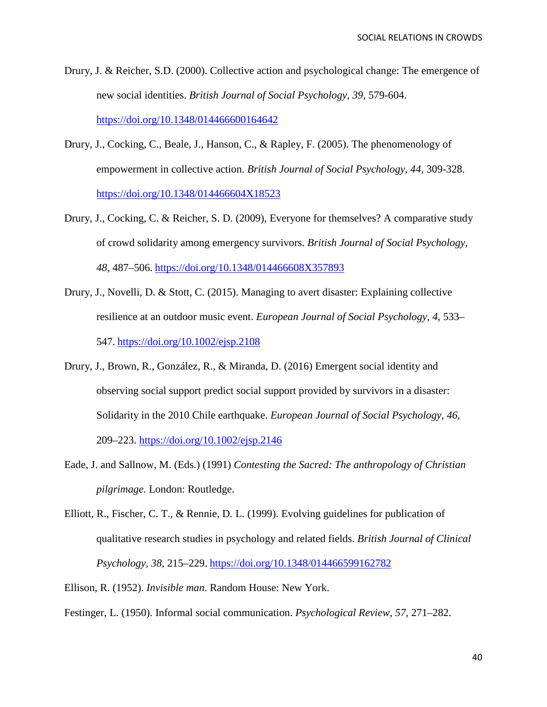- Drury, J. & Reicher, S.D. (2000). Collective action and psychological change: The emergence of new social identities. *British Journal of Social Psychology, 39,* 579-604. <https://doi.org/10.1348/014466600164642>
- Drury, J., Cocking, C., Beale, J., Hanson, C., & Rapley, F. (2005). The phenomenology of empowerment in collective action. *British Journal of Social Psychology, 44,* 309-328. <https://doi.org/10.1348/014466604X18523>
- Drury, J., Cocking, C. & Reicher, S. D. (2009), Everyone for themselves? A comparative study of crowd solidarity among emergency survivors. *British Journal of Social Psychology, 48,* 487–506. <https://doi.org/10.1348/014466608X357893>
- Drury, J., Novelli, D. & Stott, C. (2015). Managing to avert disaster: Explaining collective resilience at an outdoor music event. *European Journal of Social Psychology, 4*, 533– 547. <https://doi.org/10.1002/ejsp.2108>
- Drury, J., Brown, R., González, R., & Miranda, D. (2016) Emergent social identity and observing social support predict social support provided by survivors in a disaster: Solidarity in the 2010 Chile earthquake. *European Journal of Social Psychology, 46,* 209–223.<https://doi.org/10.1002/ejsp.2146>
- Eade, J. and Sallnow, M. (Eds.) (1991) *Contesting the Sacred: The anthropology of Christian pilgrimage.* London: Routledge.
- Elliott, R., Fischer, C. T., & Rennie, D. L. (1999). Evolving guidelines for publication of qualitative research studies in psychology and related fields. *British Journal of Clinical Psychology, 38,* 215–229. <https://doi.org/10.1348/014466599162782>
- Ellison, R. (1952). *Invisible man*. Random House: New York.
- Festinger, L. (1950). Informal social communication. *Psychological Review, 57,* 271–282.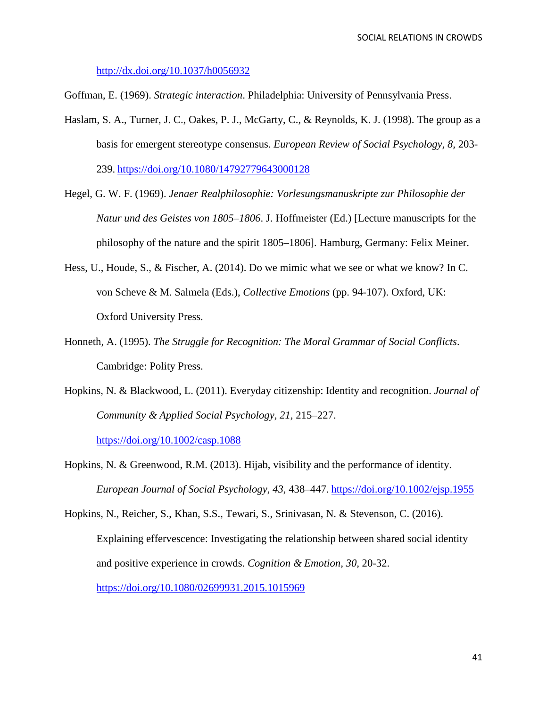<http://dx.doi.org/10.1037/h0056932>

Goffman, E. (1969). *Strategic interaction*. Philadelphia: University of Pennsylvania Press.

- Haslam, S. A., Turner, J. C., Oakes, P. J., McGarty, C., & Reynolds, K. J. (1998). The group as a basis for emergent stereotype consensus. *European Review of Social Psychology, 8,* 203- 239. <https://doi.org/10.1080/14792779643000128>
- Hegel, G. W. F. (1969). *Jenaer Realphilosophie: Vorlesungsmanuskripte zur Philosophie der Natur und des Geistes von 1805–1806*. J. Hoffmeister (Ed.) [Lecture manuscripts for the philosophy of the nature and the spirit 1805–1806]. Hamburg, Germany: Felix Meiner.
- Hess, U., Houde, S., & Fischer, A. (2014). Do we mimic what we see or what we know? In C. von Scheve & M. Salmela (Eds.), *Collective Emotions* (pp. 94-107). Oxford, UK: Oxford University Press.
- Honneth, A. (1995). *The Struggle for Recognition: The Moral Grammar of Social Conflicts*. Cambridge: Polity Press.
- Hopkins, N. & Blackwood, L. (2011). Everyday citizenship: Identity and recognition. *Journal of Community & Applied Social Psychology, 21,* 215–227.

<https://doi.org/10.1002/casp.1088>

Hopkins, N. & Greenwood, R.M. (2013). Hijab, visibility and the performance of identity. *European Journal of Social Psychology, 43,* 438–447. <https://doi.org/10.1002/ejsp.1955>

Hopkins, N., Reicher, S., Khan, S.S., Tewari, S., Srinivasan, N. & Stevenson, C. (2016). Explaining effervescence: Investigating the relationship between shared social identity and positive experience in crowds. *Cognition & Emotion, 30,* 20-32. <https://doi.org/10.1080/02699931.2015.1015969>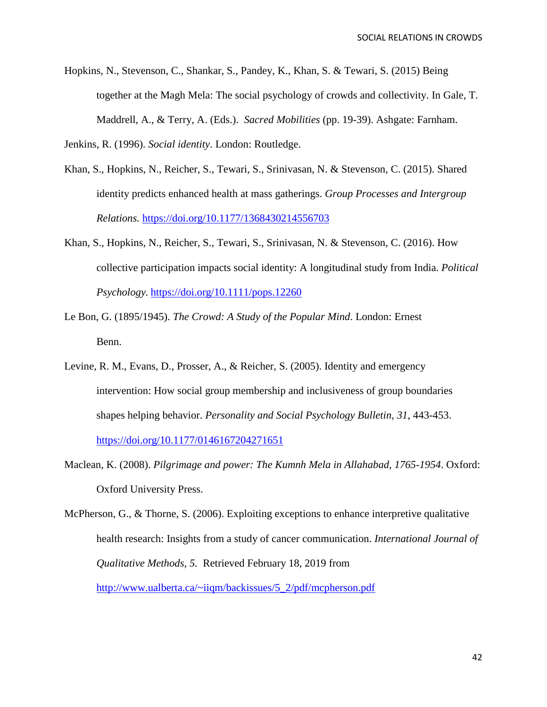- Hopkins, N., Stevenson, C., Shankar, S., Pandey, K., Khan, S. & Tewari, S. (2015) Being together at the Magh Mela: The social psychology of crowds and collectivity. In Gale, T. Maddrell, A., & Terry, A. (Eds.). *Sacred Mobilities* (pp. 19-39). Ashgate: Farnham.
- Jenkins, R. (1996). *Social identity*. London: Routledge.
- Khan, S., Hopkins, N., Reicher, S., Tewari, S., Srinivasan, N. & Stevenson, C. (2015). Shared identity predicts enhanced health at mass gatherings. *Group Processes and Intergroup Relations.* <https://doi.org/10.1177/1368430214556703>
- Khan, S., Hopkins, N., Reicher, S., Tewari, S., Srinivasan, N. & Stevenson, C. (2016). How collective participation impacts social identity: A longitudinal study from India. *Political Psychology.* <https://doi.org/10.1111/pops.12260>
- Le Bon, G. (1895/1945). *The Crowd: A Study of the Popular Mind*. London: Ernest Benn.
- Levine, R. M., Evans, D., Prosser, A., & Reicher, S. (2005). Identity and emergency intervention: How social group membership and inclusiveness of group boundaries shapes helping behavior. *Personality and Social Psychology Bulletin, 31*, 443-453. <https://doi.org/10.1177/0146167204271651>

Maclean, K. (2008). *Pilgrimage and power: The Kumnh Mela in Allahabad, 1765-1954*. Oxford: Oxford University Press.

McPherson, G., & Thorne, S. (2006). Exploiting exceptions to enhance interpretive qualitative health research: Insights from a study of cancer communication. *International Journal of Qualitative Methods, 5.* Retrieved February 18, 2019 from [http://www.ualberta.ca/~iiqm/backissues/5\\_2/pdf/mcpherson.pdf](http://www.ualberta.ca/%7Eiiqm/backissues/5_2/pdf/mcpherson.pdf)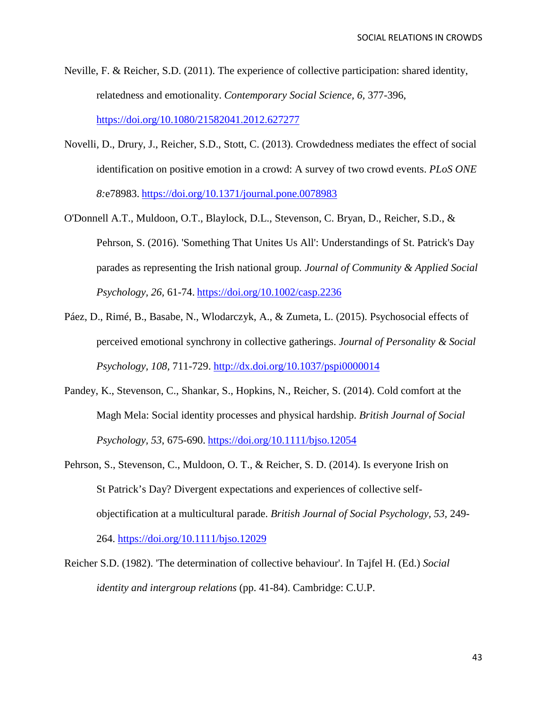- Neville, F. & Reicher, S.D. (2011). The experience of collective participation: shared identity, relatedness and emotionality. *Contemporary Social Science, 6,* 377-396, <https://doi.org/10.1080/21582041.2012.627277>
- Novelli, D., Drury, J., Reicher, S.D., Stott, C. (2013). Crowdedness mediates the effect of social identification on positive emotion in a crowd: A survey of two crowd events. *PLoS ONE 8:*e78983. <https://doi.org/10.1371/journal.pone.0078983>
- O'Donnell A.T., Muldoon, O.T., Blaylock, D.L., Stevenson, C. Bryan, D., Reicher, S.D., & Pehrson, S. (2016). 'Something That Unites Us All': Understandings of St. Patrick's Day parades as representing the Irish national group*. Journal of Community & Applied Social Psychology, 26,* 61-74. <https://doi.org/10.1002/casp.2236>
- Páez, D., Rimé, B., Basabe, N., Wlodarczyk, A., & Zumeta, L. (2015). Psychosocial effects of perceived emotional synchrony in collective gatherings. *Journal of Personality & Social Psychology, 108,* 711-729.<http://dx.doi.org/10.1037/pspi0000014>
- Pandey, K., Stevenson, C., Shankar, S., Hopkins, N., Reicher, S. (2014). Cold comfort at the Magh Mela: Social identity processes and physical hardship. *British Journal of Social Psychology, 53*, 675-690. <https://doi.org/10.1111/bjso.12054>
- Pehrson, S., Stevenson, C., Muldoon, O. T., & Reicher, S. D. (2014). Is everyone Irish on St Patrick's Day? Divergent expectations and experiences of collective selfobjectification at a multicultural parade. *British Journal of Social Psychology, 53,* 249- 264. <https://doi.org/10.1111/bjso.12029>
- Reicher S.D. (1982). 'The determination of collective behaviour'. In Tajfel H. (Ed.) *Social identity and intergroup relations* (pp. 41-84). Cambridge: C.U.P.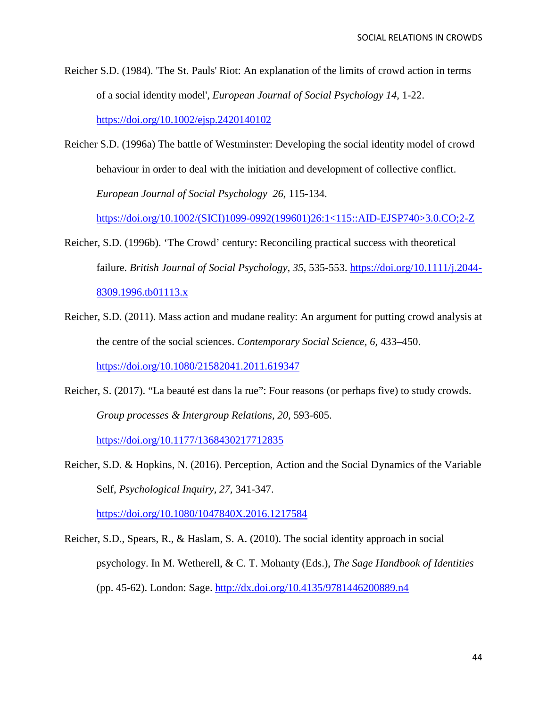Reicher S.D. (1984). 'The St. Pauls' Riot: An explanation of the limits of crowd action in terms of a social identity model', *European Journal of Social Psychology 14,* 1-22.

<https://doi.org/10.1002/ejsp.2420140102>

Reicher S.D. (1996a) The battle of Westminster: Developing the social identity model of crowd behaviour in order to deal with the initiation and development of collective conflict. *European Journal of Social Psychology 26*, 115-134.

[https://doi.org/10.1002/\(SICI\)1099-0992\(199601\)26:1<115::AID-EJSP740>3.0.CO;2-Z](https://doi.org/10.1002/(SICI)1099-0992(199601)26:1%3c115::AID-EJSP740%3e3.0.CO;2-Z)

- Reicher, S.D. (1996b). 'The Crowd' century: Reconciling practical success with theoretical failure. *British Journal of Social Psychology, 35,* 535-553. [https://doi.org/10.1111/j.2044-](https://doi.org/10.1111/j.2044-8309.1996.tb01113.x) [8309.1996.tb01113.x](https://doi.org/10.1111/j.2044-8309.1996.tb01113.x)
- Reicher, S.D. (2011). Mass action and mudane reality: An argument for putting crowd analysis at the centre of the social sciences. *Contemporary Social Science, 6,* 433–450.

<https://doi.org/10.1080/21582041.2011.619347>

Reicher, S. (2017). "La beauté est dans la rue": Four reasons (or perhaps five) to study crowds. *Group processes & Intergroup Relations, 20,* 593-605.

<https://doi.org/10.1177/1368430217712835>

Reicher, S.D. & Hopkins, N. (2016). Perception, Action and the Social Dynamics of the Variable Self, *Psychological Inquiry, 27,* 341-347.

<https://doi.org/10.1080/1047840X.2016.1217584>

Reicher, S.D., Spears, R., & Haslam, S. A. (2010). The social identity approach in social psychology. In M. Wetherell, & C. T. Mohanty (Eds.), *The Sage Handbook of Identities* (pp. 45-62). London: Sage. <http://dx.doi.org/10.4135/9781446200889.n4>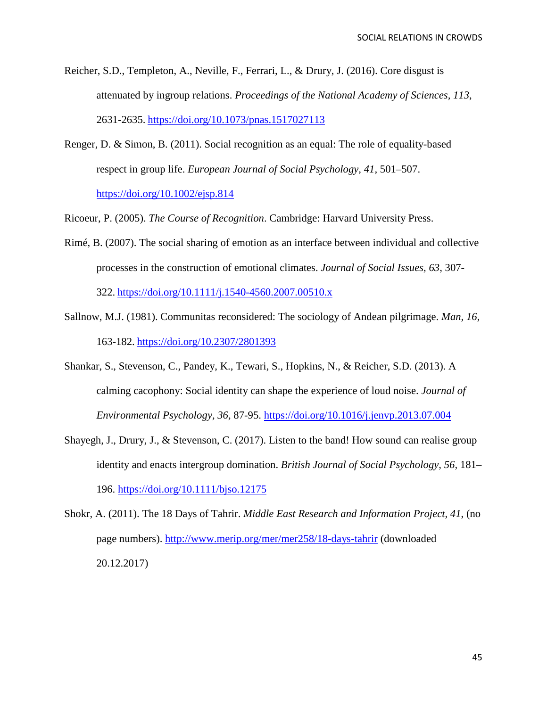- Reicher, S.D., Templeton, A., Neville, F., Ferrari, L., & Drury, J. (2016). Core disgust is attenuated by ingroup relations. *Proceedings of the National Academy of Sciences, 113*, 2631-2635. <https://doi.org/10.1073/pnas.1517027113>
- Renger, D. & Simon, B. (2011). Social recognition as an equal: The role of equality-based respect in group life. *European Journal of Social Psychology, 41,* 501–507. <https://doi.org/10.1002/ejsp.814>

Ricoeur, P. (2005). *The Course of Recognition*. Cambridge: Harvard University Press.

Rimé, B. (2007). The social sharing of emotion as an interface between individual and collective processes in the construction of emotional climates. *Journal of Social Issues, 63,* 307-

322. <https://doi.org/10.1111/j.1540-4560.2007.00510.x>

- Sallnow, M.J. (1981). Communitas reconsidered: The sociology of Andean pilgrimage. *Man, 16,* 163-182. <https://doi.org/10.2307/2801393>
- Shankar, S., Stevenson, C., Pandey, K., Tewari, S., Hopkins, N., & Reicher, S.D. (2013). A calming cacophony: Social identity can shape the experience of loud noise. *Journal of Environmental Psychology, 36,* 87-95. <https://doi.org/10.1016/j.jenvp.2013.07.004>
- Shayegh, J., Drury, J., & Stevenson, C. (2017). Listen to the band! How sound can realise group identity and enacts intergroup domination. *British Journal of Social Psychology, 56,* 181– 196.<https://doi.org/10.1111/bjso.12175>
- Shokr, A. (2011). The 18 Days of Tahrir. *Middle East Research and Information Project, 41*, (no page numbers).<http://www.merip.org/mer/mer258/18-days-tahrir> (downloaded 20.12.2017)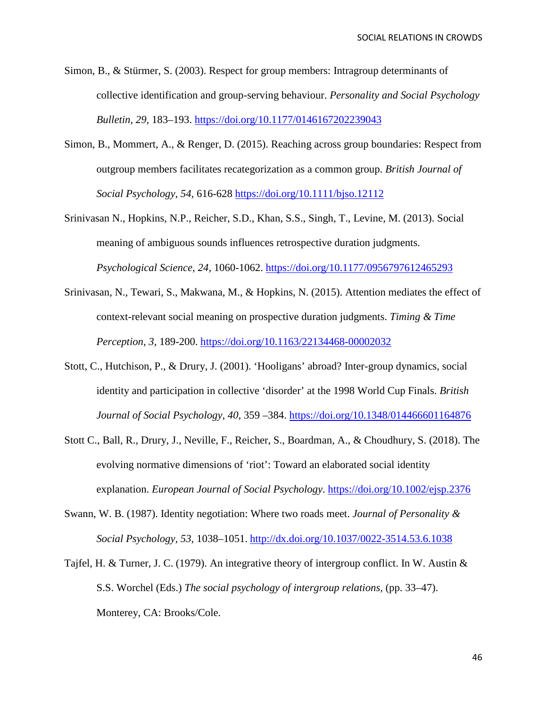- Simon, B., & Stürmer, S. (2003). Respect for group members: Intragroup determinants of collective identification and group-serving behaviour. *Personality and Social Psychology Bulletin, 29,* 183–193.<https://doi.org/10.1177/0146167202239043>
- Simon, B., [Mommert,](https://onlinelibrary.wiley.com/action/doSearch?ContribAuthorStored=Mommert%2C+Alex) A., & Renger, D. (2015). Reaching across group boundaries: Respect from outgroup members facilitates recategorization as a common group. *British Journal of Social Psychology, 54,* 616-628 <https://doi.org/10.1111/bjso.12112>
- Srinivasan N., Hopkins, N.P., Reicher, S.D., Khan, S.S., Singh, T., Levine, M. (2013). Social meaning of ambiguous sounds influences retrospective duration judgments. *Psychological Science, 24,* 1060-1062.<https://doi.org/10.1177/0956797612465293>
- Srinivasan, N., Tewari, S., Makwana, M., & Hopkins, N. (2015). Attention mediates the effect of context-relevant social meaning on prospective duration judgments. *Timing & Time Perception, 3,* 189-200.<https://doi.org/10.1163/22134468-00002032>
- Stott, C., Hutchison, P., & Drury, J. (2001). 'Hooligans' abroad? Inter-group dynamics, social identity and participation in collective 'disorder' at the 1998 World Cup Finals. *British Journal of Social Psychology, 40,* 359 –384.<https://doi.org/10.1348/014466601164876>
- Stott C., Ball, R., Drury, J., Neville, F., Reicher, S., Boardman, A., & Choudhury, S. (2018). The evolving normative dimensions of 'riot': Toward an elaborated social identity explanation. *European Journal of Social Psychology*. <https://doi.org/10.1002/ejsp.2376>
- Swann, W. B. (1987). Identity negotiation: Where two roads meet. *Journal of Personality & Social Psychology, 53*, 1038–1051. [http://dx.doi.org/10.1037/0022-3514.53.6.1038](http://psycnet.apa.org/doi/10.1037/0022-3514.53.6.1038)
- Tajfel, H. & Turner, J. C. (1979). An integrative theory of intergroup conflict. In W. Austin & S.S. Worchel (Eds.) *The social psychology of intergroup relations,* (pp. 33–47). Monterey, CA: Brooks/Cole.